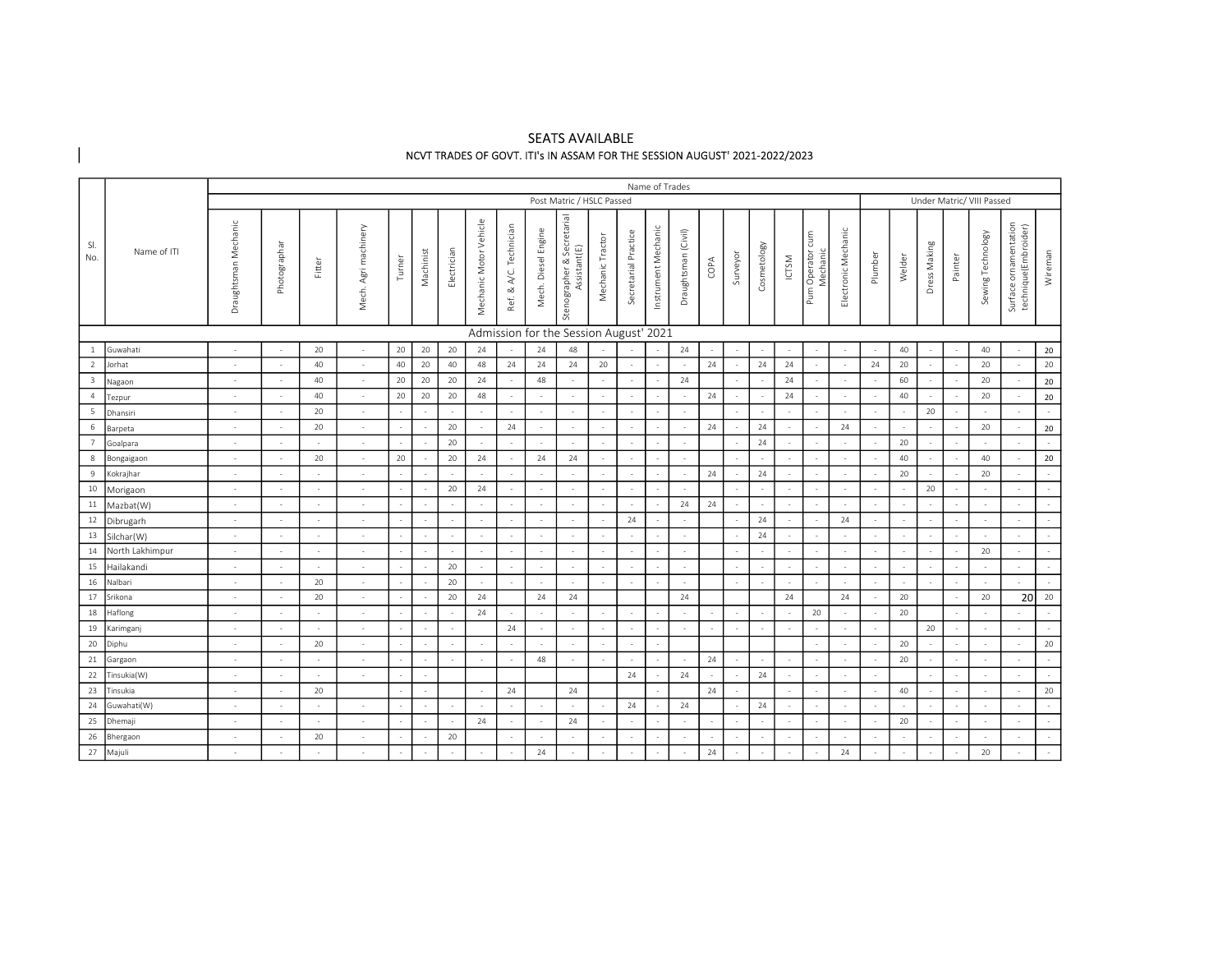# SEATS AVAILABLE NCVT TRADES OF GOVT. ITI's IN ASSAM FOR THE SESSION AUGUST' 2021-2022/2023

|                         |                 |                      |              |        |                         |        |           |             |                        |                        |                     |                                            |                  |                      | Name of Trades      |                          |        |                          |             |        |                              |                     |         |        |              |         |                           |                                               |         |
|-------------------------|-----------------|----------------------|--------------|--------|-------------------------|--------|-----------|-------------|------------------------|------------------------|---------------------|--------------------------------------------|------------------|----------------------|---------------------|--------------------------|--------|--------------------------|-------------|--------|------------------------------|---------------------|---------|--------|--------------|---------|---------------------------|-----------------------------------------------|---------|
|                         |                 |                      |              |        |                         |        |           |             |                        |                        |                     | Post Matric / HSLC Passed                  |                  |                      |                     |                          |        |                          |             |        |                              |                     |         |        |              |         | Under Matric/ VIII Passed |                                               |         |
| SI.<br>No.              | Name of ITI     | Draughtsman Mechanic | Photographar | Fitter | Agri machinery<br>Mech. | Turner | Machinist | Electrician | Mechanic Motor Vehicle | Ref. & A/C. Technician | Mech. Diesel Engine | Stenographer & Secretarial<br>Assistant(E) | Mechanic Tractor | Secretarial Practice | Instrument Mechanic | Draughtsman (Civil)      | COPA   | Surveyor                 | Cosmetology | ICTSM  | Pum Operator cum<br>Mechanic | Electronic Mechanic | Plumber | Welder | Dress Making | Painter | Sewing Technology         | Surface ornamentation<br>technique(Embroider) | Wireman |
|                         |                 |                      |              |        |                         |        |           |             |                        |                        |                     | Admission for the Session August' 2021     |                  |                      |                     |                          |        |                          |             |        |                              |                     |         |        |              |         |                           |                                               |         |
| <sup>1</sup>            | Guwahati        |                      |              | 20     |                         | 20     | 20        | 20          | 24                     |                        | 24                  | 48                                         |                  |                      |                     | 24                       | $\sim$ |                          |             |        |                              | $\sim$              |         | 40     |              |         | 40                        |                                               | 20      |
| $\overline{2}$          | Jorhat          | $\sim$               |              | 40     |                         | 40     | 20        | 40          | 48                     | 24                     | 24                  | 24                                         | 20               |                      |                     | ÷.                       | 24     |                          | 24          | 24     |                              | $\sim$              | 24      | 20     |              |         | 20                        |                                               | 20      |
| $\overline{\mathbf{3}}$ | Nagaon          | $\sim$               |              | 40     |                         | 20     | 20        | 20          | 24                     |                        | 48                  |                                            |                  |                      |                     | 24                       |        |                          |             | 24     |                              | $\sim$              |         | 60     |              |         | 20                        |                                               | 20      |
| $\overline{4}$          | Tezpur          | $\sim$               |              | 40     |                         | 20     | 20        | 20          | 48                     |                        | $\sim$              | $\sim$                                     |                  |                      |                     |                          | 24     |                          |             | 24     |                              | $\sim$              |         | 40     |              |         | 20                        |                                               | 20      |
| 5                       | Dhansiri        | $\sim$               |              | 20     |                         |        |           | $\sim$      | $\sim$                 |                        |                     | $\sim$                                     |                  |                      |                     | ÷.                       |        | ÷,                       |             | $\sim$ |                              | $\sim$              |         |        | 20           |         | $\sim$                    |                                               |         |
| 6                       | Barpeta         | $\sim$               |              | 20     | $\sim$                  |        |           | 20          | $\sim$                 | 24                     |                     | $\sim$                                     |                  |                      | ÷.                  | ÷.                       | 24     |                          | 24          |        |                              | 24                  |         |        |              |         | 20                        |                                               | 20      |
| $\overline{7}$          | Goalpara        | $\sim$               |              | $\sim$ | $\sim$                  |        |           | 20          | $\sim$                 | $\sim$                 | $\sim$              | $\sim$                                     | $\sim$           | $\sim$               | $\sim$              | $\sim$                   |        | ÷,                       | 24          |        |                              | $\sim$              |         | 20     |              |         | $\sim$                    |                                               |         |
| $^8$                    | Bongaigaon      | $\sim$               |              | 20     | $\sim$                  | 20     |           | 20          | 24                     |                        | 24                  | 24                                         |                  |                      | ÷.                  | ÷.                       |        | ÷,                       |             |        |                              | $\sim$              |         | 40     |              |         | 40                        | $\sim$                                        | 20      |
| $\overline{9}$          | Kokrajhar       | $\sim$               |              | $\sim$ | $\sim$                  |        |           | $\sim$      | $\sim$                 | $\sim$                 | $\sim$              | $\sim$                                     |                  | $\sim$               | ÷.                  | $\sim$                   | 24     | $\sim$                   | 24          |        |                              | $\sim$              |         | 20     |              |         | 20                        |                                               |         |
| $10\,$                  | Morigaon        | $\sim$               |              | $\sim$ | $\sim$                  |        |           | 20          | 24                     |                        | $\sim$              | $\sim$                                     |                  |                      |                     |                          |        | ÷,                       |             |        |                              | $\sim$              |         |        | 20           |         | $\sim$                    | $\sim$                                        |         |
| $11\,$                  | Mazbat(W)       | $\sim$               |              | $\sim$ | $\sim$                  |        |           | $\sim$      | $\sim$                 | $\sim$                 | $\sim$              | $\sim$                                     | $\sim$           | $\sim$               |                     | 24                       | 24     | $\overline{\phantom{a}}$ |             |        |                              | $\sim$              |         |        | $\sim$       |         | $\sim$                    | $\sim$                                        |         |
| 12                      | Dibrugarh       | $\sim$               |              | $\sim$ | $\sim$                  |        |           | ÷.          | $\sim$                 | $\sim$                 | $\sim$              | $\sim$                                     |                  | 24                   |                     | ÷.                       |        | $\overline{\phantom{a}}$ | 24          |        |                              | 24                  |         |        | $\sim$       |         | $\sim$                    | $\sim$                                        |         |
| 13                      | Silchar(W)      | $\sim$               | $\sim$       | $\sim$ | $\sim$                  |        |           | $\sim$      | $\sim$                 | $\sim$                 | $\sim$              | $\sim$                                     | $\sim$           | $\sim$               | $\sim$              | $\sim$                   |        | $\overline{\phantom{a}}$ | 24          |        |                              | $\sim$              |         |        | $\sim$       |         | $\sim$                    | $\sim$                                        |         |
| $14\,$                  | North Lakhimpur | $\sim$               |              | $\sim$ | $\sim$                  |        |           | ÷.          | $\sim$                 | $\sim$                 | $\sim$              | $\sim$                                     |                  | $\sim$               | $\sim$              | $\sim$                   |        | $\sim$                   |             |        |                              | $\sim$              |         |        |              |         | 20                        | $\sim$                                        |         |
| 15                      | Hailakandi      | $\sim$               | $\sim$       | $\sim$ | $\sim$                  |        |           | 20          | $\sim$                 | $\sim$                 | $\sim$              | $\sim$                                     | $\sim$           | $\sim$               | $\sim$              | $\sim$                   |        | $\sim$                   |             | $\sim$ |                              | $\sim$              |         |        | $\sim$       |         | $\sim$                    | $\sim$                                        |         |
| 16                      | Nalbari         | $\sim$               | $\sim$       | 20     | $\sim$                  |        |           | 20          | $\sim$                 | $\sim$                 | $\sim$              | $\sim$                                     | $\sim$           | $\sim$               | $\sim$              | $\sim$                   |        | ÷.                       |             | $\sim$ |                              | $\sim$              |         | $\sim$ | ÷,           |         | $\sim$                    | $\sim$                                        |         |
| 17                      | Srikona         | $\sim$               |              | 20     | $\sim$                  |        |           | 20          | 24                     |                        | 24                  | 24                                         |                  |                      |                     | 24                       |        |                          |             | 24     |                              | 24                  |         | 20     |              |         | 20                        | 20 <sup>1</sup>                               | 20      |
| $18\,$                  | Haflong         | $\sim$               | $\sim$       | $\sim$ | $\sim$                  |        |           | $\sim$      | 24                     | $\sim$                 | $\sim$              | $\sim$                                     |                  | $\sim$               | ÷                   | $\sim$                   | ÷.     | $\sim$                   |             | $\sim$ | 20                           | $\sim$              |         | 20     |              |         | $\sim$                    |                                               |         |
| 19                      | Karimganj       | $\sim$               | $\sim$       | $\sim$ | $\sim$                  |        |           | $\sim$      |                        | 24                     |                     | $\sim$                                     |                  | $\sim$               | $\sim$              | $\sim$                   | $\sim$ | $\sim$                   |             |        | $\sim$                       | $\sim$              |         |        | 20           |         | $\sim$                    | $\sim$                                        |         |
| 20                      | Diphu           | $\sim$               |              | 20     | $\sim$                  |        |           | $\sim$      | $\sim$                 | $\sim$                 | $\sim$              | $\sim$                                     | $\sim$           | $\sim$               | $\sim$              |                          |        |                          |             |        |                              | $\sim$              |         | 20     |              |         | $\sim$                    | $\sim$                                        | 20      |
| 21                      | Gargaon         | $\sim$               |              | $\sim$ | $\sim$                  |        |           | $\sim$      | $\sim$                 |                        | 48                  | $\sim$                                     |                  |                      | $\sim$              | $\overline{\phantom{a}}$ | 24     | ÷,                       | ÷.          |        | ÷.                           | $\sim$              |         | 20     |              |         | $\sim$                    | $\sim$                                        |         |
| 22                      | Tinsukia(W)     | $\sim$               | $\sim$       | $\sim$ | $\sim$                  |        | $\sim$    |             |                        |                        |                     |                                            |                  | 24                   |                     | 24                       | ÷.     | $\sim$                   | 24          | $\sim$ | in 1919.                     | $\sim$              |         |        |              |         | $\sim$                    | $\sim$                                        |         |
| 23                      | Tinsukia        | $\sim$               |              | 20     |                         |        |           |             | $\sim$                 | 24                     |                     | 24                                         |                  |                      |                     |                          | 24     | $\overline{\phantom{a}}$ |             |        |                              | $\sim$              |         | 40     |              |         | $\sim$                    | $\sim$                                        | 20      |
| 24                      | Guwahati(W)     | $\sim$               |              | $\sim$ | $\sim$                  |        |           | ÷.          | $\sim$                 | $\sim$                 |                     | $\sim$                                     |                  | 24                   | ÷                   | 24                       |        | $\sim$                   | 24          |        |                              | $\sim$              |         |        |              |         | $\sim$                    | $\sim$                                        |         |
| 25                      | Dhemaji         | $\sim$               |              | $\sim$ |                         |        |           |             | 24                     |                        |                     | 24                                         |                  |                      |                     | ÷.                       | ÷.     |                          |             |        |                              | $\sim$              |         | 20     |              |         | $\sim$                    | $\sim$                                        |         |
| 26                      | Bhergaon        | $\sim$               |              | 20     |                         |        |           | 20          |                        |                        | $\sim$              | $\sim$                                     |                  | $\sim$               | $\sim$              | $\sim$                   | $\sim$ | $\overline{\phantom{a}}$ |             |        |                              | $\sim$              |         |        |              |         | $\sim$                    | $\sim$                                        |         |
|                         | 27 Majuli       | $\sim$               | $\sim$       | $\sim$ | $\sim$                  | $\sim$ | $\sim$    | $\sim$      | $\sim$                 | $\sim$                 | 24                  | $\sim$                                     | $\sim$           | $\sim$               | $\sim$              | $\sim$                   | 24     | $\sim$                   | $\sim$      | $\sim$ | $\sim$                       | 24                  | $\sim$  | $\sim$ | $\sim$       | $\sim$  | 20                        | $\sim$                                        | $\sim$  |

 $\overline{\phantom{a}}$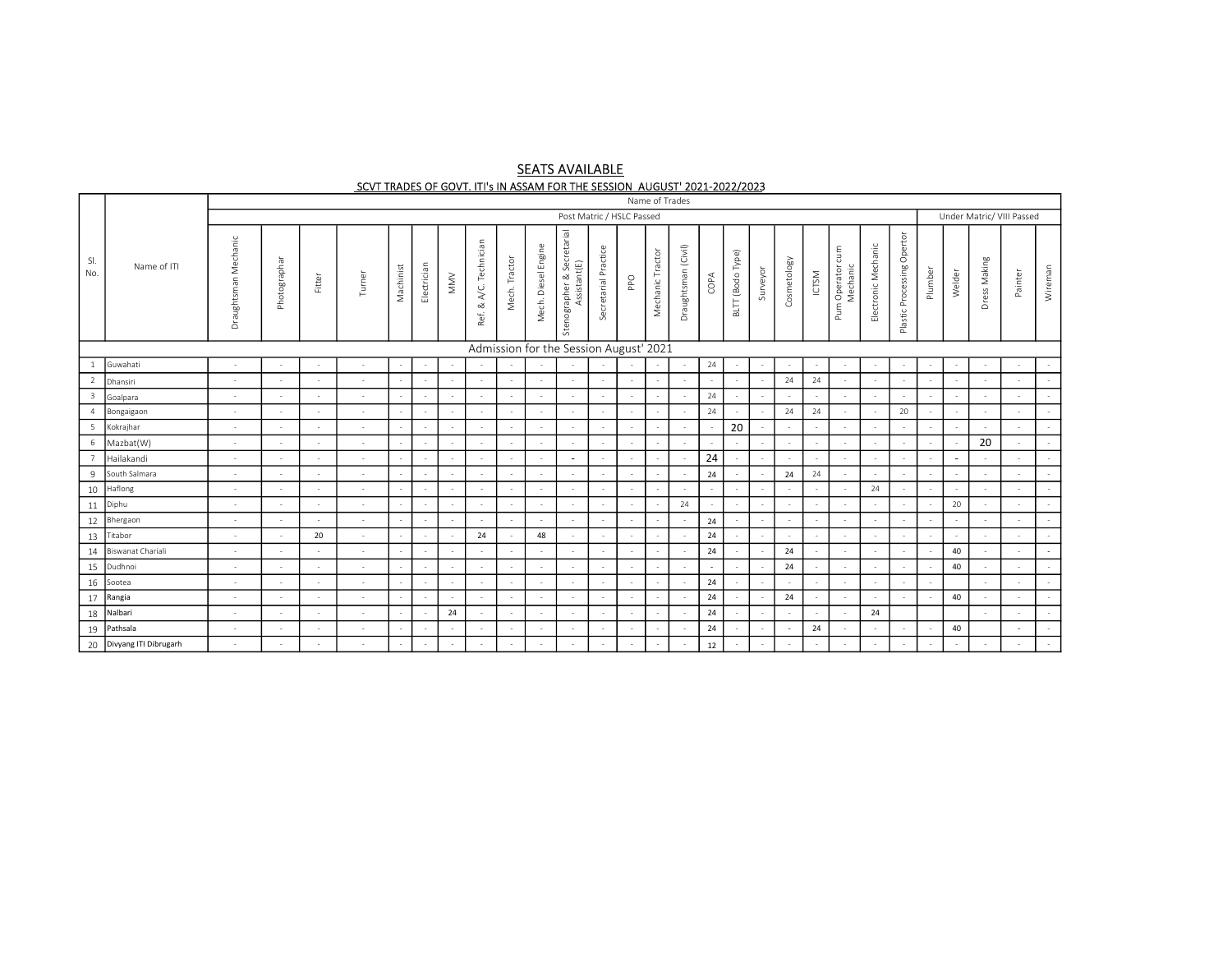# **SEATS AVAILABLE** SCVT TRADES OF GOVT. ITI's IN ASSAM FOR THE SESSION AUGUST' 2021-2022/2023

|                         |                          |                            |              |        |        |           |             |                                  |                        |               |                     |                                            |                      |        | Name of Trades   |                     |                          |                          |          |                          |        |                                   |                     |                               |                          |        |              |                           |         |
|-------------------------|--------------------------|----------------------------|--------------|--------|--------|-----------|-------------|----------------------------------|------------------------|---------------|---------------------|--------------------------------------------|----------------------|--------|------------------|---------------------|--------------------------|--------------------------|----------|--------------------------|--------|-----------------------------------|---------------------|-------------------------------|--------------------------|--------|--------------|---------------------------|---------|
|                         |                          |                            |              |        |        |           |             |                                  |                        |               |                     | Post Matric / HSLC Passed                  |                      |        |                  |                     |                          |                          |          |                          |        |                                   |                     |                               |                          |        |              | Under Matric/ VIII Passed |         |
| SI.<br>No.              | Name of ITI              | Mechanic<br>aughtsman<br>ă | Photographar | Fitter | Turner | Machinist | Electrician | $\mathsf{M}\mathsf{M}\mathsf{V}$ | Ref. & A/C. Technician | Mech. Tractor | Mech. Diesel Engine | Stenographer & Secretarial<br>Assistant(E) | Secretarial Practice | PPO    | Mechanic Tractor | Draughtsman (Civil) | COPA                     | BLTT (Bodo Type)         | Surveyor | Cosmetology              | ICTSM  | cum<br>Pum Operator c<br>Mechanic | Electronic Mechanic | Opertor<br>Plastic Processing | Plumber                  | Welder | Dress Making | Painter                   | Wireman |
|                         |                          |                            |              |        |        |           |             |                                  |                        |               |                     | Admission for the Session August' 2021     |                      |        |                  |                     |                          |                          |          |                          |        |                                   |                     |                               |                          |        |              |                           |         |
|                         | Guwahati                 | $\sim$                     |              | $\sim$ |        |           |             | $\overline{\phantom{a}}$         | $\sim$                 |               |                     | $\sim$                                     |                      |        | $\sim$           |                     | 24                       | $\sim$                   |          | $\sim$                   | $\sim$ | $\sim$                            |                     | $\sim$                        | $\sim$                   |        | $\sim$       | $\sim$                    |         |
| <sup>2</sup>            | Dhansiri                 | $\sim$                     |              | $\sim$ |        |           |             | $\overline{\phantom{a}}$         | $\overline{a}$         |               |                     |                                            |                      |        | $\sim$           |                     | $\sim$                   |                          |          | 24                       | 24     | $\sim$                            |                     |                               | ÷,                       |        |              |                           |         |
| $\overline{\mathbf{3}}$ | Goalpara                 | $\sim$                     |              | $\sim$ |        | $\sim$    |             | $\overline{\phantom{a}}$         | $\sim$                 | $\sim$        | $\sim$              | $\sim$                                     |                      | $\sim$ | $\sim$           |                     | 24                       |                          |          | $\sim$                   | $\sim$ | $\sim$                            |                     |                               | $\sim$                   |        | $\sim$       | $\sim$                    |         |
| $\overline{4}$          | Bongaigaon               | $\sim$                     |              | $\sim$ |        |           | $\sim$      | $\sim$                           | $\sim$                 | $\sim$        |                     | - 11                                       |                      | $\sim$ | $\sim$           |                     | 24                       |                          |          | 24                       | 24     | $\sim$                            |                     | 20                            | $\overline{\phantom{a}}$ | $\sim$ | $\sim$       | $\sim$                    |         |
| $\overline{5}$          | Kokrajhar                | $\sim$                     |              |        |        |           | $\sim$      | $\sim$                           | $\sim$                 |               |                     | $\sim$                                     |                      | $\sim$ | $\sim$           |                     |                          | 20                       |          | $\sim$                   | $\sim$ | $\sim$                            |                     | $\sim$                        | $\sim$                   |        | $\sim$       | $\sim$                    |         |
| 6                       | Mazbat(W)                | $\sim$                     |              | $\sim$ |        |           |             | $\sim$                           | $\sim$                 |               |                     |                                            |                      |        | $\sim$           |                     |                          |                          |          | $\sim$                   | $\sim$ | $\sim$                            |                     |                               |                          |        | 20           |                           |         |
|                         | Hailakandi               | $\sim$                     |              | $\sim$ |        |           | $\sim$      | $\sim$                           | $\sim$                 | $\sim$        |                     | $\sim$                                     |                      | $\sim$ | $\sim$           |                     | 24                       |                          | $\sim$   | $\sim$                   | $\sim$ | $\sim$                            |                     |                               | $\sim$                   | $\sim$ | $\sim$       | $\sim$                    |         |
| 9                       | South Salmara            | $\sim$                     |              | $\sim$ |        |           | $\sim$      | $\sim$                           | $\sim$                 | $\sim$        |                     | $\sim$                                     |                      | $\sim$ | $\sim$           |                     | 24                       |                          |          | 24                       | 24     | $\sim$                            |                     |                               | $\sim$                   |        | $\sim$       | $\sim$                    |         |
| 10                      | Haflong                  | $\sim$                     |              | $\sim$ | $\sim$ |           |             | $\overline{\phantom{a}}$         | $\sim$                 | $\sim$        | $\sim$              | $\sim$                                     |                      | $\sim$ | $\sim$           |                     | $\sim$                   | $\overline{\phantom{a}}$ |          | $\sim$                   |        | $\sim$                            | 24                  |                               | $\sim$                   |        | $\sim$       | $\sim$                    |         |
| 11                      | Diphu                    | $\sim$                     | $\sim$       | $\sim$ | $\sim$ |           | $\sim$      | $\sim$                           | $\sim$                 | $\sim$        | $\sim$              | $\sim$                                     |                      | $\sim$ | $\sim$           | 24                  | $\overline{\phantom{a}}$ | $\sim$                   |          | $\sim$                   | $\sim$ | $\sim$                            |                     |                               | $\overline{\phantom{a}}$ | 20     | $\sim$       | $\sim$                    |         |
| $12\,$                  | Bhergaon                 | $\sim$                     |              | $\sim$ | $\sim$ |           |             | $\overline{\phantom{a}}$         | $\sim$                 | $\sim$        | $\sim$              | $\sim$                                     |                      | $\sim$ | $\sim$           |                     | 24                       | $\overline{\phantom{a}}$ |          | $\sim$                   |        | $\sim$                            |                     | $\sim$                        | $\sim$                   |        | $\sim$       | $\sim$                    |         |
| 13                      | Titabor                  | $\sim$                     |              | 20     |        | $\sim$    | $\sim$      | $\sim$                           | 24                     |               | 48                  | $\sim$                                     | $\sim$               | $\sim$ | $\sim$           |                     | 24                       |                          | $\sim$   | $\sim$                   | $\sim$ | $\sim$                            |                     |                               | $\sim$                   | $\sim$ | $\sim$       | $\sim$                    |         |
| 14                      | Biswanat Chariali        | $\sim$                     |              | $\sim$ |        |           | $\sim$      | $\overline{\phantom{a}}$         | $\sim$                 | $\sim$        | $\sim$              | $\sim$                                     | $\sim$               | $\sim$ | $\sim$           |                     | 24                       |                          |          | 24                       |        | $\sim$                            |                     | $\sim$                        | $\sim$                   | 40     | $\sim$       | $\sim$                    | ٠       |
| 15                      | Dudhnoi                  | $\sim$                     |              | $\sim$ |        | $\sim$    | $\sim$      | $\sim$                           | $\sim$                 | <b>1999</b>   | $\sim$              | $\sim$                                     |                      | $\sim$ | $\sim$           | - 2                 | $\sim$                   | $\sim$                   | $\sim$   | 24                       | $\sim$ | $\sim$                            |                     | $\sim$                        | $\sim$                   | 40     | $\sim$       | $\sim$                    |         |
| 16                      | Sootea                   | $\sim$                     |              | $\sim$ |        |           |             | $\overline{\phantom{a}}$         | $\sim$                 |               |                     |                                            |                      |        | $\sim$           |                     | 24                       |                          |          | $\sim$                   | $\sim$ | $\sim$                            |                     |                               |                          |        | $\sim$       |                           |         |
| 17                      | Rangia                   |                            |              |        |        |           | $\sim$      | $\sim$                           | $\sim$                 |               |                     |                                            |                      | $\sim$ | $\sim$           |                     | 24                       |                          | $\sim$   | 24                       | $\sim$ | $\sim$                            |                     |                               | ÷,                       | 40     |              |                           |         |
| 18                      | Nalbari                  | $\sim$                     |              | $\sim$ |        |           |             | 24                               | $\sim$                 | $\sim$        |                     |                                            |                      |        | $\sim$           |                     | 24                       |                          |          |                          |        | $\sim$                            | 24                  |                               |                          |        |              | $\sim$                    |         |
| 19                      | Pathsala                 | $\sim$                     |              | $\sim$ |        |           | $\sim$      | $\sim$                           | $\sim$                 | $\sim$        |                     | $\sim$                                     |                      | $\sim$ | $\sim$           |                     | 24                       |                          |          | $\overline{\phantom{a}}$ | 24     | $\sim$                            |                     |                               | $\sim$                   | 40     |              | $\overline{a}$            |         |
|                         | 20 Divyang ITI Dibrugarh |                            |              | $\sim$ |        |           | $\sim$      | $\sim$                           | $\sim$                 | $\sim$        | $\sim$              | $\sim$                                     | $\sim$               |        | $\sim$           |                     | 12                       | $\sim$                   | $\sim$   | $\sim$                   | $\sim$ | $\sim$                            |                     | $\sim$                        | $\sim$                   | $\sim$ | $\sim$       | $\sim$                    |         |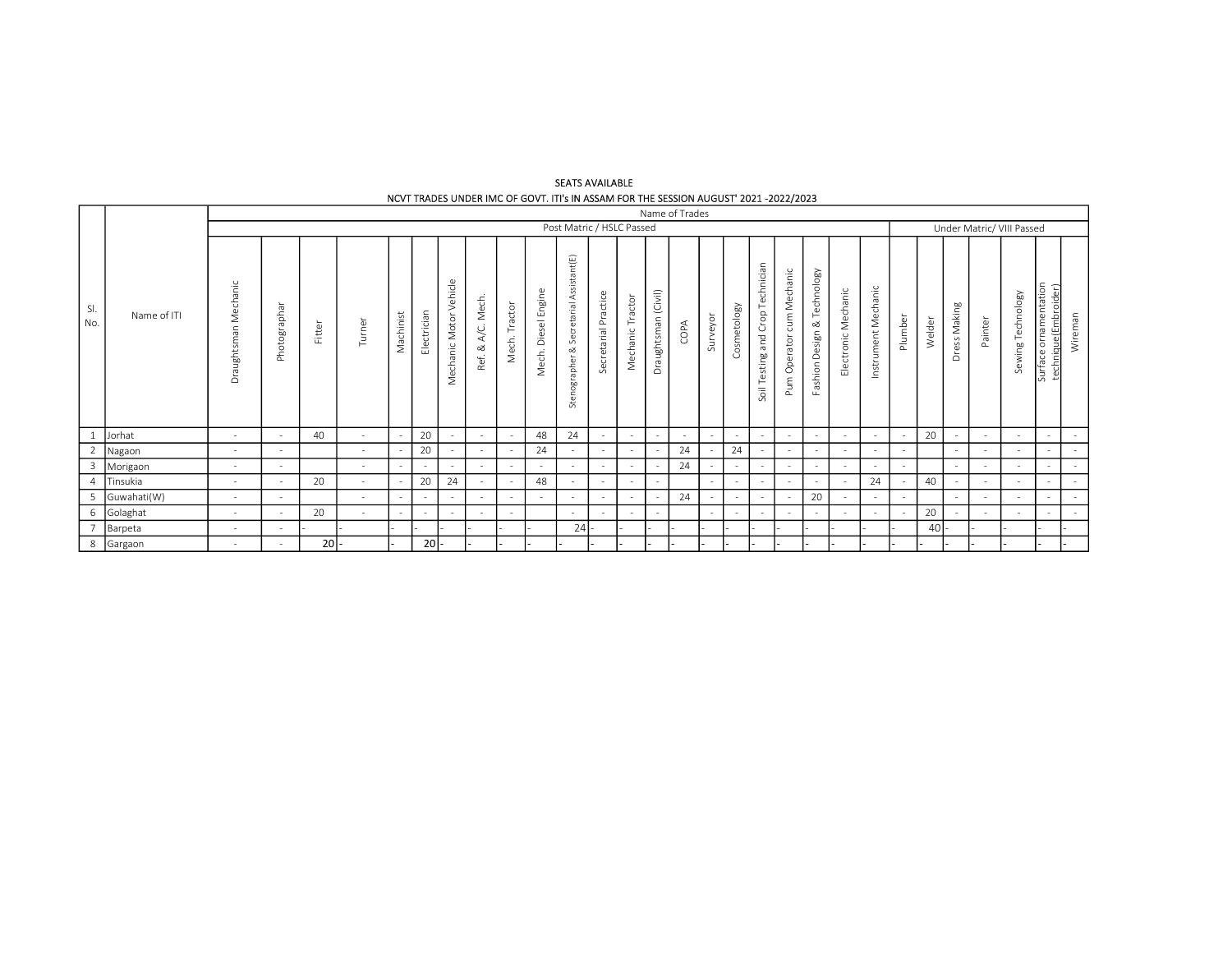#### SEATS AVAILABLE NCVT TRADES UNDER IMC OF GOVT. ITI's IN ASSAM FOR THE SESSION AUGUST' 2021 -2022/2023

|                |             |                         |              |        |        |           |             |                                           |                       |                  |                     |                                         |                      |                     |                          | Name of Trades |          |             |                                  |                           |                             |                     |                     |         |        |              |                           |                   |                                                       |         |
|----------------|-------------|-------------------------|--------------|--------|--------|-----------|-------------|-------------------------------------------|-----------------------|------------------|---------------------|-----------------------------------------|----------------------|---------------------|--------------------------|----------------|----------|-------------|----------------------------------|---------------------------|-----------------------------|---------------------|---------------------|---------|--------|--------------|---------------------------|-------------------|-------------------------------------------------------|---------|
|                |             |                         |              |        |        |           |             |                                           |                       |                  |                     | Post Matric / HSLC Passed               |                      |                     |                          |                |          |             |                                  |                           |                             |                     |                     |         |        |              | Under Matric/ VIII Passed |                   |                                                       |         |
| SI.<br>No.     | Name of ITI | Mechanic<br>Draughtsman | Photographar | Fitter | Turner | Machinist | Electrician | Vehicle<br>Motor <sup>'</sup><br>Mechanic | Mech.<br>ĄC.<br>Ref.& | Tractor<br>Mech. | Mech. Diesel Engine | Stenographer & Secretarial Assistant(E) | Secretarial Practice | Tractor<br>Mechanic | Draughtsman (Civil)      | COPA           | Surveyor | Cosmetology | Soil Testing and Crop Technician | Pum Operator cum Mechanic | Fashion Design & Technology | Electronic Mechanic | Instrument Mechanic | Plumber | Welder | Dress Making | Painter                   | Sewing Technology | tion<br>entat<br>음<br>que(Em<br>Ε<br>urface<br>$\sim$ | Wireman |
| $\mathbf{1}$   | Jorhat      | $\sim$                  |              | 40     |        |           | 20          |                                           | $\sim$                |                  | 48                  | 24                                      | $\sim$               | $\sim$              | $\sim$                   | $\sim$ $-$     | $\sim$   | $\sim$      | $\sim$                           | $\sim$                    | $\sim$                      | $\sim$              | $\sim$              | $\sim$  | 20     | $\sim$       | $\sim$                    |                   | $\sim$                                                | $\sim$  |
| 2              | Nagaon      | $\sim$                  | $\sim$       |        | $\sim$ |           | 20          |                                           | $\sim$                |                  | 24                  | $\sim$                                  | $\sim$               | $\sim$              | $\overline{\phantom{a}}$ | 24             |          | 24          | $\sim$                           | $\sim$                    | $\sim$                      | $\sim$              | $\sim$              | $\sim$  |        | $\sim$       | $\overline{\phantom{a}}$  |                   | $\sim$                                                | $\sim$  |
| $\overline{3}$ | Morigaon    | $\sim$                  | $\sim$       |        | $\sim$ | $\sim$    | $\sim$      |                                           | $\sim$                |                  | $\sim$              | $\sim$                                  | $\sim$               | $\sim$              | $\sim$                   | 24             | $\sim$   | $\sim$      | $\sim$                           | $\sim$                    | $\sim$                      | $\sim$              | $\sim$              | $\sim$  |        | $\sim$       | $\sim$                    |                   | $\sim$                                                | $\sim$  |
| $\overline{4}$ | Tinsukia    | $\sim$                  |              | 20     |        |           | 20          | 24                                        | $\sim$                |                  | 48                  | $\sim$                                  | $\sim$               | $\sim$              | $\sim$                   |                | $\sim$   | $\sim$      | $\sim$                           | $\sim$                    | $\sim$                      | $\sim$              | 24                  |         | 40     | $\sim$       | $\sim$                    |                   | $\sim$                                                | $\sim$  |
| 5              | Guwahati(W) | $\sim$                  | $\sim$       |        | $\sim$ |           | $\sim$      |                                           | $\sim$                |                  | $\sim$              | $\sim$                                  | $\sim$               | $\sim$              | $\sim$                   | 24             | $\sim$   | $\sim$      | $\sim$                           | $\sim$                    | 20                          | $\sim$              | $\sim$              | $\sim$  |        | $\sim$       | $\sim$                    |                   | $\sim$                                                | $\sim$  |
| 6              | Golaghat    | $\sim$                  | $\sim$       | 20     |        | $\sim$    | $\sim$      | $\sim$                                    | $\sim$                | $\sim$           |                     | $\sim$                                  | $\sim$               | $\sim$              | $\sim$                   |                | $\sim$   | $\sim$      | $\sim$                           | $\sim$                    | $\sim$                      | $\sim$              | $\sim$              | $\sim$  | 20     | $\sim$       | $\sim$                    |                   | $\sim$                                                | $\sim$  |
| п,             | Barpeta     | $\sim$                  | $\sim$       |        |        |           |             |                                           |                       |                  |                     | 24                                      |                      |                     |                          |                |          |             |                                  |                           |                             |                     |                     |         | 40     |              |                           |                   |                                                       |         |
|                | 8 Gargaon   | $\sim$                  |              | 20     |        |           | 20          |                                           |                       |                  |                     |                                         |                      |                     |                          |                |          |             |                                  |                           |                             |                     |                     |         |        |              |                           |                   |                                                       |         |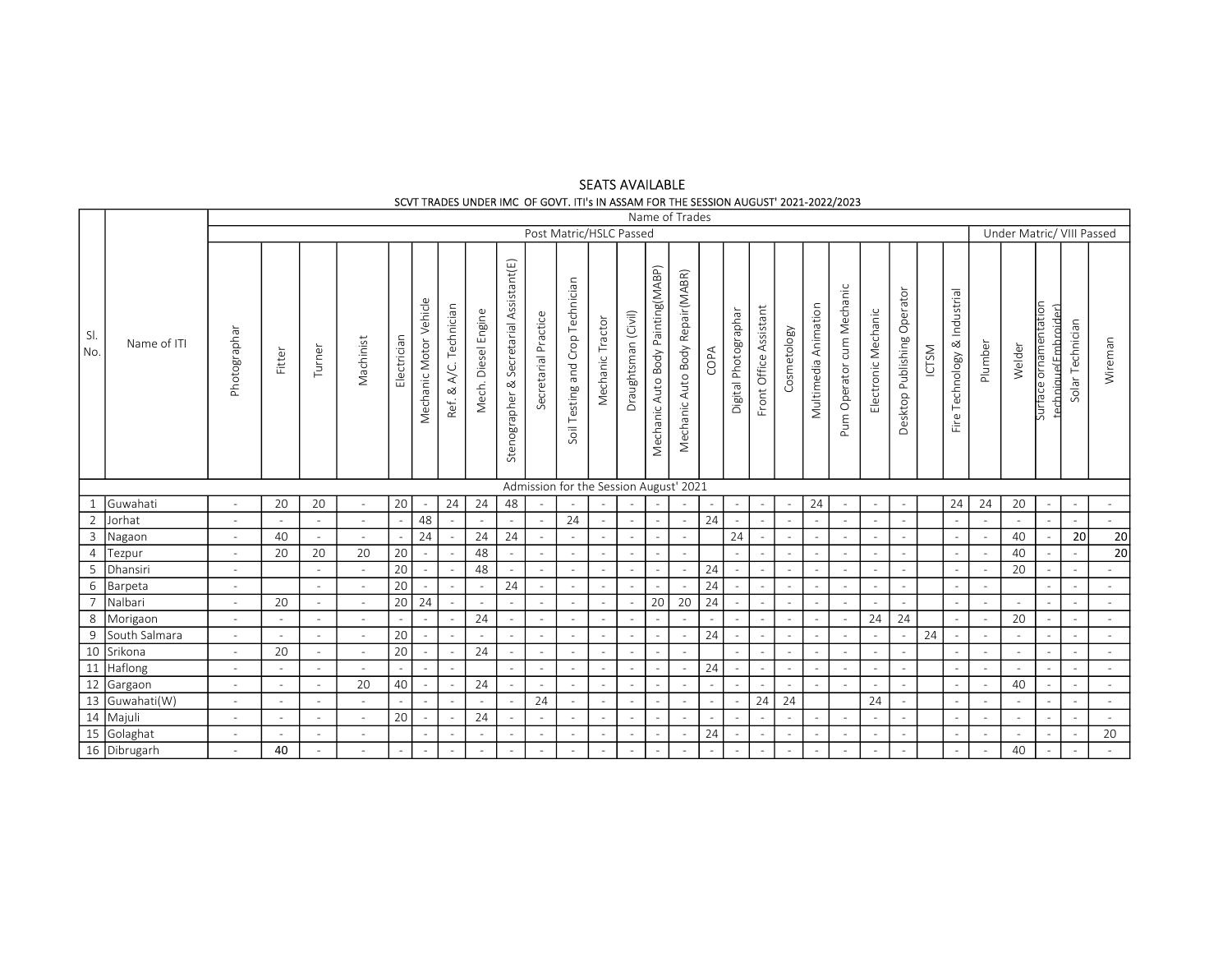# SEATS AVAILABLE SCVT TRADES UNDER IMC OF GOVT. ITI's IN ASSAM FOR THE SESSION AUGUST' 2021-2022/2023

| Post Matric/HSLC Passed<br>Under Matric/ VIII Passed<br>Stenographer & Secretarial Assistant(E)<br>Mechanic Auto Body Painting(MABP)<br>Mechanic Auto Body Repair(MABR)<br>Soil Testing and Crop Technician<br>Pum Operator cum Mechanic<br>Fire Technology & Industrial<br>Desktop Publishing Operator<br>Mechanic Motor Vehicle<br>Multimedia Animation<br>Surface ornamentation<br>technique(Embroider)<br>Ref. & A/C. Technician<br>Front Office Assistant<br>Digital Photographar<br>Electronic Mechanic<br>Mech. Diesel Engine<br>Draughtsman (Civil)<br>Secretarial Practice<br>Mechanic Tractor<br>Solar Technician<br>Cosmetology<br>Photographar<br>Electrician<br>Machinist<br>Wireman<br>Name of ITI<br>Plumber<br>Welder<br><b>ICTSM</b><br>Turner<br>COPA<br>Fitter<br>Admission for the Session August' 2021<br>$\mathbf{1}$<br>20<br>20<br>20<br>24<br>24<br>48<br>24<br>24<br>24<br>20<br>Guwahati<br>$\equiv$<br>$\sim$<br>$\sim$<br>$\sim$<br>$\overline{\phantom{a}}$<br>$\sim$<br>$\sim$<br>$\overline{\phantom{a}}$<br>$\sim$<br>$\overline{\phantom{a}}$<br>$\sim$<br>$\overline{\phantom{a}}$<br>$\overline{\phantom{a}}$<br>$\overline{\phantom{a}}$<br>$\sim$<br>2<br>48<br>24<br>24<br>Jorhat<br>$\sim$<br>$\sim$<br>$\sim$<br>$\sim$<br>$\sim$<br>$\sim$<br>$\sim$<br>$\blacksquare$<br>$\equiv$<br>$\sim$<br>$\sim$<br>$\equiv$<br>$\sim$<br>$\sim$<br>$\sim$<br>$\overline{\phantom{a}}$<br>$\equiv$<br>$\sim$<br>$\sim$<br>$\sim$<br>$\overline{\mathbf{3}}$<br>24<br>24<br>24<br>24<br>40<br>20<br>40<br>$\sim$<br>Nagaon<br>$\sim$<br>$\sim$<br>$\sim$<br>$\sim$<br>$\sim$<br>$\sim$<br>$\sim$<br>$\sim$<br>$\sim$<br>$\equiv$<br>$\overline{4}$<br>20<br>48<br>20<br>20<br>40<br>20<br>Tezpur<br>$\sim$<br>$\sim$<br>$\sim$<br>$\sim$<br>$\sim$<br>$\sim$<br>$\sim$<br>$\sim$<br>$\overline{\phantom{a}}$<br>$\overline{\phantom{a}}$<br>$\sim$<br>$\overline{\phantom{a}}$<br>$\sim$<br>$\sim$<br>$\overline{\phantom{a}}$<br>$\sim$<br>$\sim$<br>$\overline{\phantom{0}}$<br>20<br>48<br>24<br>20<br>Dhansiri<br>$\sim$<br>$\sim$<br>$\sim$<br>$\sim$<br>$\sim$<br>÷,<br>$\sim$<br>$\sim$<br>$\sim$<br>$\sim$<br>$\equiv$<br>$\sim$<br>$\sim$<br>$\sim$<br>$\sim$<br>$\sim$<br>$\sim$<br>$6\,$<br>20<br>24<br>24<br>Barpeta<br>$\sim$<br>$\sim$<br>$\sim$<br>$\sim$<br>$\sim$<br>$\equiv$<br>$\sim$<br>$\equiv$<br>$\sim$<br>$\sim$<br>$\equiv$<br>$\overline{\phantom{a}}$<br>$\overline{\phantom{a}}$<br>$\sim$<br>$\equiv$<br>÷.<br>$\sim$<br>$\sim$<br>$\sim$<br>$\sim$<br>$\sim$<br>$\sim$<br>20<br>24<br>20 <sup>°</sup><br>Nalbari<br>20<br>24<br>20<br>$\sim$<br>$\sim$<br>$\sim$<br>$\sim$<br>$\sim$<br>$\sim$<br>$\sim$<br>$\sim$<br>$\sim$<br>$\sim$<br>$\sim$<br>$\sim$<br>$\omega$<br>$\sim$<br>$\sim$<br>$\sim$<br>8 Morigaon<br>24<br>24<br>20<br>24<br>$\sim$<br>$\sim$<br>$\sim$<br>$\sim$<br>$\sim$<br>$\sim$<br>$\equiv$<br>$\sim$<br>$\equiv$<br>$\sim$<br>$\sim$<br>$\sim$<br>$\sim$<br>$\overline{\phantom{a}}$<br>$\overline{\phantom{a}}$<br>$\sim$<br>$\sim$<br>$\sim$<br>$\sim$<br>$\sim$<br>$\overline{\phantom{a}}$<br>$\overline{\phantom{a}}$<br>$\overline{9}$<br>20<br>24<br>24<br>South Salmara<br>$\sim$<br>$\overline{\phantom{a}}$<br>$\overline{\phantom{a}}$<br>$\sim$<br>$\sim$<br>$\sim$<br>$\sim$<br>$\sim$<br>$\sim$<br>$\sim$<br>$\sim$<br>$\overline{\phantom{a}}$<br>$\sim$<br>$\sim$<br>$\overline{\phantom{a}}$<br>$\equiv$<br>$\overline{\phantom{a}}$<br>$\sim$<br>$\overline{\phantom{a}}$<br>10 Srikona<br>11 Haflong<br>12 Gargaon<br>13 Guwahati(W)<br>14 Majuli<br>24<br>20<br>20<br>$\sim$<br>$\sim$<br>$\sim$<br>$\sim$<br>$\overline{\phantom{a}}$<br>$\sim$<br>$\sim$<br>$\sim$<br>$\sim$<br>$\sim$<br>$\overline{\phantom{a}}$<br>$\sim$<br>$\sim$<br>$\sim$<br>$\sim$<br>$\sim$<br>$\overline{\phantom{a}}$<br>$\sim$<br>$\sim$<br>$\sim$<br>$\sim$<br>$\sim$<br>$\sim$<br>$\sim$<br>24<br>$\sim$<br>$\sim$<br>$\sim$<br>$\sim$<br>$\sim$<br>$\sim$<br>$\sim$<br>$\sim$<br>$\sim$<br>$\sim$<br>$\sim$<br>$\sim$<br>$\sim$<br>$\sim$<br>$\sim$<br>$\sim$<br>$\sim$<br>$\sim$<br>$\sim$<br>20<br>40<br>24<br>40<br>$\sim$<br>$\sim$<br>$\sim$<br>$\sim$<br>$\sim$<br>$\sim$<br>$\sim$<br>$\overline{\phantom{a}}$<br>$\overline{\phantom{a}}$<br>$\sim$<br>$\overline{\phantom{a}}$<br>$\sim$<br>$\sim$<br>$\sim$<br>$\overline{\phantom{a}}$<br>$\sim$<br>$\sim$<br>$\sim$<br>$\sim$<br>$\sim$<br>$\overline{\phantom{a}}$<br>$\sim$<br>$\overline{\phantom{a}}$<br>24<br>24<br>24<br>24<br>$\overline{\phantom{a}}$<br>$\sim$<br>$\sim$<br>$\sim$<br>$\sim$<br>$\sim$<br>$\sim$<br>$\sim$<br>$\sim$<br>$\overline{\phantom{a}}$<br>$\sim$<br>$\sim$<br>$\sim$<br>$\overline{\phantom{a}}$<br>$\overline{\phantom{a}}$<br>$\overline{\phantom{a}}$<br>$\sim$<br>$\sim$<br>24<br>20<br>$\sim$<br>$\sim$<br>$\sim$<br>$\sim$<br>$\sim$<br>$\sim$<br>$\sim$<br>$\sim$<br>$\sim$<br>$\sim$<br>$\sim$<br>$\overline{\phantom{a}}$<br>$\sim$<br>$\sim$<br>$\sim$<br>$\overline{\phantom{a}}$<br>$\sim$<br>$\overline{\phantom{a}}$<br>$\sim$<br>$\sim$<br>$\overline{\phantom{a}}$<br>$\overline{\phantom{a}}$<br>$\sim$<br>$\overline{\phantom{a}}$<br>$\overline{\phantom{a}}$<br>15 Golaghat<br>16 Dibrugarh<br>24<br>20<br>$\sim$<br>$\sim$<br>$\sim$<br>$\sim$<br>$\sim$<br>$\sim$<br>$\sim$<br>$\sim$<br>$\sim$<br>$\sim$<br>$\sim$<br>$\sim$<br>$\sim$<br>$\sim$<br>$\sim$<br>$\sim$<br>$\sim$<br>$\sim$<br>$\sim$<br>$\overline{\phantom{a}}$<br>40<br>40<br>$\sim$<br>$\sim$<br>$\sim$<br>$\sim$<br>$\sim$<br>$\sim$<br>$\sim$<br>$\sim$<br>$\sim$<br>$\sim$<br>$\sim$<br>$\sim$<br>$\sim$<br>$\sim$<br>$\overline{\phantom{a}}$<br>$\sim$<br>$\sim$<br>$\overline{\phantom{a}}$<br>$\sim$<br>$\sim$<br>$\sim$<br>$\overline{\phantom{a}}$<br>$\overline{\phantom{a}}$<br>$\sim$ |            |  |  |  |  |  |  |  | Name of Trades |  |  |  |  |  |  |  |                 |
|------------------------------------------------------------------------------------------------------------------------------------------------------------------------------------------------------------------------------------------------------------------------------------------------------------------------------------------------------------------------------------------------------------------------------------------------------------------------------------------------------------------------------------------------------------------------------------------------------------------------------------------------------------------------------------------------------------------------------------------------------------------------------------------------------------------------------------------------------------------------------------------------------------------------------------------------------------------------------------------------------------------------------------------------------------------------------------------------------------------------------------------------------------------------------------------------------------------------------------------------------------------------------------------------------------------------------------------------------------------------------------------------------------------------------------------------------------------------------------------------------------------------------------------------------------------------------------------------------------------------------------------------------------------------------------------------------------------------------------------------------------------------------------------------------------------------------------------------------------------------------------------------------------------------------------------------------------------------------------------------------------------------------------------------------------------------------------------------------------------------------------------------------------------------------------------------------------------------------------------------------------------------------------------------------------------------------------------------------------------------------------------------------------------------------------------------------------------------------------------------------------------------------------------------------------------------------------------------------------------------------------------------------------------------------------------------------------------------------------------------------------------------------------------------------------------------------------------------------------------------------------------------------------------------------------------------------------------------------------------------------------------------------------------------------------------------------------------------------------------------------------------------------------------------------------------------------------------------------------------------------------------------------------------------------------------------------------------------------------------------------------------------------------------------------------------------------------------------------------------------------------------------------------------------------------------------------------------------------------------------------------------------------------------------------------------------------------------------------------------------------------------------------------------------------------------------------------------------------------------------------------------------------------------------------------------------------------------------------------------------------------------------------------------------------------------------------------------------------------------------------------------------------------------------------------------------------------------------------------------------------------------------------------------------------------------------------------------------------------------------------------------------------------------------------------------------------------------------------------------------------------------------------------------------------------------------------------------------------------------------------------------------------------------------------------------------------------------------------------------------------------------------------------------------------------------------------------------------------------------------------------------------------------------------------------------------------------------------------------------------------------------------------------------------------------------------------------------------------------------------------------------------------------------------------------------------------------------------------------------------------------------------------------------------------------------------------------------------------------------------------------------------------------------------------------------------------------------------------------------------------------------------------------------------------------------------------------------------------------------------------------------------------------------------------------------------------------------------------------------------------------------------------------|------------|--|--|--|--|--|--|--|----------------|--|--|--|--|--|--|--|-----------------|
|                                                                                                                                                                                                                                                                                                                                                                                                                                                                                                                                                                                                                                                                                                                                                                                                                                                                                                                                                                                                                                                                                                                                                                                                                                                                                                                                                                                                                                                                                                                                                                                                                                                                                                                                                                                                                                                                                                                                                                                                                                                                                                                                                                                                                                                                                                                                                                                                                                                                                                                                                                                                                                                                                                                                                                                                                                                                                                                                                                                                                                                                                                                                                                                                                                                                                                                                                                                                                                                                                                                                                                                                                                                                                                                                                                                                                                                                                                                                                                                                                                                                                                                                                                                                                                                                                                                                                                                                                                                                                                                                                                                                                                                                                                                                                                                                                                                                                                                                                                                                                                                                                                                                                                                                                                                                                                                                                                                                                                                                                                                                                                                                                                                                                                                                                                                    |            |  |  |  |  |  |  |  |                |  |  |  |  |  |  |  |                 |
|                                                                                                                                                                                                                                                                                                                                                                                                                                                                                                                                                                                                                                                                                                                                                                                                                                                                                                                                                                                                                                                                                                                                                                                                                                                                                                                                                                                                                                                                                                                                                                                                                                                                                                                                                                                                                                                                                                                                                                                                                                                                                                                                                                                                                                                                                                                                                                                                                                                                                                                                                                                                                                                                                                                                                                                                                                                                                                                                                                                                                                                                                                                                                                                                                                                                                                                                                                                                                                                                                                                                                                                                                                                                                                                                                                                                                                                                                                                                                                                                                                                                                                                                                                                                                                                                                                                                                                                                                                                                                                                                                                                                                                                                                                                                                                                                                                                                                                                                                                                                                                                                                                                                                                                                                                                                                                                                                                                                                                                                                                                                                                                                                                                                                                                                                                                    | SI.<br>No. |  |  |  |  |  |  |  |                |  |  |  |  |  |  |  |                 |
|                                                                                                                                                                                                                                                                                                                                                                                                                                                                                                                                                                                                                                                                                                                                                                                                                                                                                                                                                                                                                                                                                                                                                                                                                                                                                                                                                                                                                                                                                                                                                                                                                                                                                                                                                                                                                                                                                                                                                                                                                                                                                                                                                                                                                                                                                                                                                                                                                                                                                                                                                                                                                                                                                                                                                                                                                                                                                                                                                                                                                                                                                                                                                                                                                                                                                                                                                                                                                                                                                                                                                                                                                                                                                                                                                                                                                                                                                                                                                                                                                                                                                                                                                                                                                                                                                                                                                                                                                                                                                                                                                                                                                                                                                                                                                                                                                                                                                                                                                                                                                                                                                                                                                                                                                                                                                                                                                                                                                                                                                                                                                                                                                                                                                                                                                                                    |            |  |  |  |  |  |  |  |                |  |  |  |  |  |  |  |                 |
|                                                                                                                                                                                                                                                                                                                                                                                                                                                                                                                                                                                                                                                                                                                                                                                                                                                                                                                                                                                                                                                                                                                                                                                                                                                                                                                                                                                                                                                                                                                                                                                                                                                                                                                                                                                                                                                                                                                                                                                                                                                                                                                                                                                                                                                                                                                                                                                                                                                                                                                                                                                                                                                                                                                                                                                                                                                                                                                                                                                                                                                                                                                                                                                                                                                                                                                                                                                                                                                                                                                                                                                                                                                                                                                                                                                                                                                                                                                                                                                                                                                                                                                                                                                                                                                                                                                                                                                                                                                                                                                                                                                                                                                                                                                                                                                                                                                                                                                                                                                                                                                                                                                                                                                                                                                                                                                                                                                                                                                                                                                                                                                                                                                                                                                                                                                    |            |  |  |  |  |  |  |  |                |  |  |  |  |  |  |  |                 |
|                                                                                                                                                                                                                                                                                                                                                                                                                                                                                                                                                                                                                                                                                                                                                                                                                                                                                                                                                                                                                                                                                                                                                                                                                                                                                                                                                                                                                                                                                                                                                                                                                                                                                                                                                                                                                                                                                                                                                                                                                                                                                                                                                                                                                                                                                                                                                                                                                                                                                                                                                                                                                                                                                                                                                                                                                                                                                                                                                                                                                                                                                                                                                                                                                                                                                                                                                                                                                                                                                                                                                                                                                                                                                                                                                                                                                                                                                                                                                                                                                                                                                                                                                                                                                                                                                                                                                                                                                                                                                                                                                                                                                                                                                                                                                                                                                                                                                                                                                                                                                                                                                                                                                                                                                                                                                                                                                                                                                                                                                                                                                                                                                                                                                                                                                                                    |            |  |  |  |  |  |  |  |                |  |  |  |  |  |  |  |                 |
|                                                                                                                                                                                                                                                                                                                                                                                                                                                                                                                                                                                                                                                                                                                                                                                                                                                                                                                                                                                                                                                                                                                                                                                                                                                                                                                                                                                                                                                                                                                                                                                                                                                                                                                                                                                                                                                                                                                                                                                                                                                                                                                                                                                                                                                                                                                                                                                                                                                                                                                                                                                                                                                                                                                                                                                                                                                                                                                                                                                                                                                                                                                                                                                                                                                                                                                                                                                                                                                                                                                                                                                                                                                                                                                                                                                                                                                                                                                                                                                                                                                                                                                                                                                                                                                                                                                                                                                                                                                                                                                                                                                                                                                                                                                                                                                                                                                                                                                                                                                                                                                                                                                                                                                                                                                                                                                                                                                                                                                                                                                                                                                                                                                                                                                                                                                    |            |  |  |  |  |  |  |  |                |  |  |  |  |  |  |  | 20              |
|                                                                                                                                                                                                                                                                                                                                                                                                                                                                                                                                                                                                                                                                                                                                                                                                                                                                                                                                                                                                                                                                                                                                                                                                                                                                                                                                                                                                                                                                                                                                                                                                                                                                                                                                                                                                                                                                                                                                                                                                                                                                                                                                                                                                                                                                                                                                                                                                                                                                                                                                                                                                                                                                                                                                                                                                                                                                                                                                                                                                                                                                                                                                                                                                                                                                                                                                                                                                                                                                                                                                                                                                                                                                                                                                                                                                                                                                                                                                                                                                                                                                                                                                                                                                                                                                                                                                                                                                                                                                                                                                                                                                                                                                                                                                                                                                                                                                                                                                                                                                                                                                                                                                                                                                                                                                                                                                                                                                                                                                                                                                                                                                                                                                                                                                                                                    |            |  |  |  |  |  |  |  |                |  |  |  |  |  |  |  | $\overline{20}$ |
|                                                                                                                                                                                                                                                                                                                                                                                                                                                                                                                                                                                                                                                                                                                                                                                                                                                                                                                                                                                                                                                                                                                                                                                                                                                                                                                                                                                                                                                                                                                                                                                                                                                                                                                                                                                                                                                                                                                                                                                                                                                                                                                                                                                                                                                                                                                                                                                                                                                                                                                                                                                                                                                                                                                                                                                                                                                                                                                                                                                                                                                                                                                                                                                                                                                                                                                                                                                                                                                                                                                                                                                                                                                                                                                                                                                                                                                                                                                                                                                                                                                                                                                                                                                                                                                                                                                                                                                                                                                                                                                                                                                                                                                                                                                                                                                                                                                                                                                                                                                                                                                                                                                                                                                                                                                                                                                                                                                                                                                                                                                                                                                                                                                                                                                                                                                    |            |  |  |  |  |  |  |  |                |  |  |  |  |  |  |  |                 |
|                                                                                                                                                                                                                                                                                                                                                                                                                                                                                                                                                                                                                                                                                                                                                                                                                                                                                                                                                                                                                                                                                                                                                                                                                                                                                                                                                                                                                                                                                                                                                                                                                                                                                                                                                                                                                                                                                                                                                                                                                                                                                                                                                                                                                                                                                                                                                                                                                                                                                                                                                                                                                                                                                                                                                                                                                                                                                                                                                                                                                                                                                                                                                                                                                                                                                                                                                                                                                                                                                                                                                                                                                                                                                                                                                                                                                                                                                                                                                                                                                                                                                                                                                                                                                                                                                                                                                                                                                                                                                                                                                                                                                                                                                                                                                                                                                                                                                                                                                                                                                                                                                                                                                                                                                                                                                                                                                                                                                                                                                                                                                                                                                                                                                                                                                                                    |            |  |  |  |  |  |  |  |                |  |  |  |  |  |  |  |                 |
|                                                                                                                                                                                                                                                                                                                                                                                                                                                                                                                                                                                                                                                                                                                                                                                                                                                                                                                                                                                                                                                                                                                                                                                                                                                                                                                                                                                                                                                                                                                                                                                                                                                                                                                                                                                                                                                                                                                                                                                                                                                                                                                                                                                                                                                                                                                                                                                                                                                                                                                                                                                                                                                                                                                                                                                                                                                                                                                                                                                                                                                                                                                                                                                                                                                                                                                                                                                                                                                                                                                                                                                                                                                                                                                                                                                                                                                                                                                                                                                                                                                                                                                                                                                                                                                                                                                                                                                                                                                                                                                                                                                                                                                                                                                                                                                                                                                                                                                                                                                                                                                                                                                                                                                                                                                                                                                                                                                                                                                                                                                                                                                                                                                                                                                                                                                    |            |  |  |  |  |  |  |  |                |  |  |  |  |  |  |  |                 |
|                                                                                                                                                                                                                                                                                                                                                                                                                                                                                                                                                                                                                                                                                                                                                                                                                                                                                                                                                                                                                                                                                                                                                                                                                                                                                                                                                                                                                                                                                                                                                                                                                                                                                                                                                                                                                                                                                                                                                                                                                                                                                                                                                                                                                                                                                                                                                                                                                                                                                                                                                                                                                                                                                                                                                                                                                                                                                                                                                                                                                                                                                                                                                                                                                                                                                                                                                                                                                                                                                                                                                                                                                                                                                                                                                                                                                                                                                                                                                                                                                                                                                                                                                                                                                                                                                                                                                                                                                                                                                                                                                                                                                                                                                                                                                                                                                                                                                                                                                                                                                                                                                                                                                                                                                                                                                                                                                                                                                                                                                                                                                                                                                                                                                                                                                                                    |            |  |  |  |  |  |  |  |                |  |  |  |  |  |  |  |                 |
|                                                                                                                                                                                                                                                                                                                                                                                                                                                                                                                                                                                                                                                                                                                                                                                                                                                                                                                                                                                                                                                                                                                                                                                                                                                                                                                                                                                                                                                                                                                                                                                                                                                                                                                                                                                                                                                                                                                                                                                                                                                                                                                                                                                                                                                                                                                                                                                                                                                                                                                                                                                                                                                                                                                                                                                                                                                                                                                                                                                                                                                                                                                                                                                                                                                                                                                                                                                                                                                                                                                                                                                                                                                                                                                                                                                                                                                                                                                                                                                                                                                                                                                                                                                                                                                                                                                                                                                                                                                                                                                                                                                                                                                                                                                                                                                                                                                                                                                                                                                                                                                                                                                                                                                                                                                                                                                                                                                                                                                                                                                                                                                                                                                                                                                                                                                    |            |  |  |  |  |  |  |  |                |  |  |  |  |  |  |  |                 |
|                                                                                                                                                                                                                                                                                                                                                                                                                                                                                                                                                                                                                                                                                                                                                                                                                                                                                                                                                                                                                                                                                                                                                                                                                                                                                                                                                                                                                                                                                                                                                                                                                                                                                                                                                                                                                                                                                                                                                                                                                                                                                                                                                                                                                                                                                                                                                                                                                                                                                                                                                                                                                                                                                                                                                                                                                                                                                                                                                                                                                                                                                                                                                                                                                                                                                                                                                                                                                                                                                                                                                                                                                                                                                                                                                                                                                                                                                                                                                                                                                                                                                                                                                                                                                                                                                                                                                                                                                                                                                                                                                                                                                                                                                                                                                                                                                                                                                                                                                                                                                                                                                                                                                                                                                                                                                                                                                                                                                                                                                                                                                                                                                                                                                                                                                                                    |            |  |  |  |  |  |  |  |                |  |  |  |  |  |  |  |                 |
|                                                                                                                                                                                                                                                                                                                                                                                                                                                                                                                                                                                                                                                                                                                                                                                                                                                                                                                                                                                                                                                                                                                                                                                                                                                                                                                                                                                                                                                                                                                                                                                                                                                                                                                                                                                                                                                                                                                                                                                                                                                                                                                                                                                                                                                                                                                                                                                                                                                                                                                                                                                                                                                                                                                                                                                                                                                                                                                                                                                                                                                                                                                                                                                                                                                                                                                                                                                                                                                                                                                                                                                                                                                                                                                                                                                                                                                                                                                                                                                                                                                                                                                                                                                                                                                                                                                                                                                                                                                                                                                                                                                                                                                                                                                                                                                                                                                                                                                                                                                                                                                                                                                                                                                                                                                                                                                                                                                                                                                                                                                                                                                                                                                                                                                                                                                    |            |  |  |  |  |  |  |  |                |  |  |  |  |  |  |  |                 |
|                                                                                                                                                                                                                                                                                                                                                                                                                                                                                                                                                                                                                                                                                                                                                                                                                                                                                                                                                                                                                                                                                                                                                                                                                                                                                                                                                                                                                                                                                                                                                                                                                                                                                                                                                                                                                                                                                                                                                                                                                                                                                                                                                                                                                                                                                                                                                                                                                                                                                                                                                                                                                                                                                                                                                                                                                                                                                                                                                                                                                                                                                                                                                                                                                                                                                                                                                                                                                                                                                                                                                                                                                                                                                                                                                                                                                                                                                                                                                                                                                                                                                                                                                                                                                                                                                                                                                                                                                                                                                                                                                                                                                                                                                                                                                                                                                                                                                                                                                                                                                                                                                                                                                                                                                                                                                                                                                                                                                                                                                                                                                                                                                                                                                                                                                                                    |            |  |  |  |  |  |  |  |                |  |  |  |  |  |  |  |                 |
|                                                                                                                                                                                                                                                                                                                                                                                                                                                                                                                                                                                                                                                                                                                                                                                                                                                                                                                                                                                                                                                                                                                                                                                                                                                                                                                                                                                                                                                                                                                                                                                                                                                                                                                                                                                                                                                                                                                                                                                                                                                                                                                                                                                                                                                                                                                                                                                                                                                                                                                                                                                                                                                                                                                                                                                                                                                                                                                                                                                                                                                                                                                                                                                                                                                                                                                                                                                                                                                                                                                                                                                                                                                                                                                                                                                                                                                                                                                                                                                                                                                                                                                                                                                                                                                                                                                                                                                                                                                                                                                                                                                                                                                                                                                                                                                                                                                                                                                                                                                                                                                                                                                                                                                                                                                                                                                                                                                                                                                                                                                                                                                                                                                                                                                                                                                    |            |  |  |  |  |  |  |  |                |  |  |  |  |  |  |  |                 |
|                                                                                                                                                                                                                                                                                                                                                                                                                                                                                                                                                                                                                                                                                                                                                                                                                                                                                                                                                                                                                                                                                                                                                                                                                                                                                                                                                                                                                                                                                                                                                                                                                                                                                                                                                                                                                                                                                                                                                                                                                                                                                                                                                                                                                                                                                                                                                                                                                                                                                                                                                                                                                                                                                                                                                                                                                                                                                                                                                                                                                                                                                                                                                                                                                                                                                                                                                                                                                                                                                                                                                                                                                                                                                                                                                                                                                                                                                                                                                                                                                                                                                                                                                                                                                                                                                                                                                                                                                                                                                                                                                                                                                                                                                                                                                                                                                                                                                                                                                                                                                                                                                                                                                                                                                                                                                                                                                                                                                                                                                                                                                                                                                                                                                                                                                                                    |            |  |  |  |  |  |  |  |                |  |  |  |  |  |  |  |                 |
|                                                                                                                                                                                                                                                                                                                                                                                                                                                                                                                                                                                                                                                                                                                                                                                                                                                                                                                                                                                                                                                                                                                                                                                                                                                                                                                                                                                                                                                                                                                                                                                                                                                                                                                                                                                                                                                                                                                                                                                                                                                                                                                                                                                                                                                                                                                                                                                                                                                                                                                                                                                                                                                                                                                                                                                                                                                                                                                                                                                                                                                                                                                                                                                                                                                                                                                                                                                                                                                                                                                                                                                                                                                                                                                                                                                                                                                                                                                                                                                                                                                                                                                                                                                                                                                                                                                                                                                                                                                                                                                                                                                                                                                                                                                                                                                                                                                                                                                                                                                                                                                                                                                                                                                                                                                                                                                                                                                                                                                                                                                                                                                                                                                                                                                                                                                    |            |  |  |  |  |  |  |  |                |  |  |  |  |  |  |  |                 |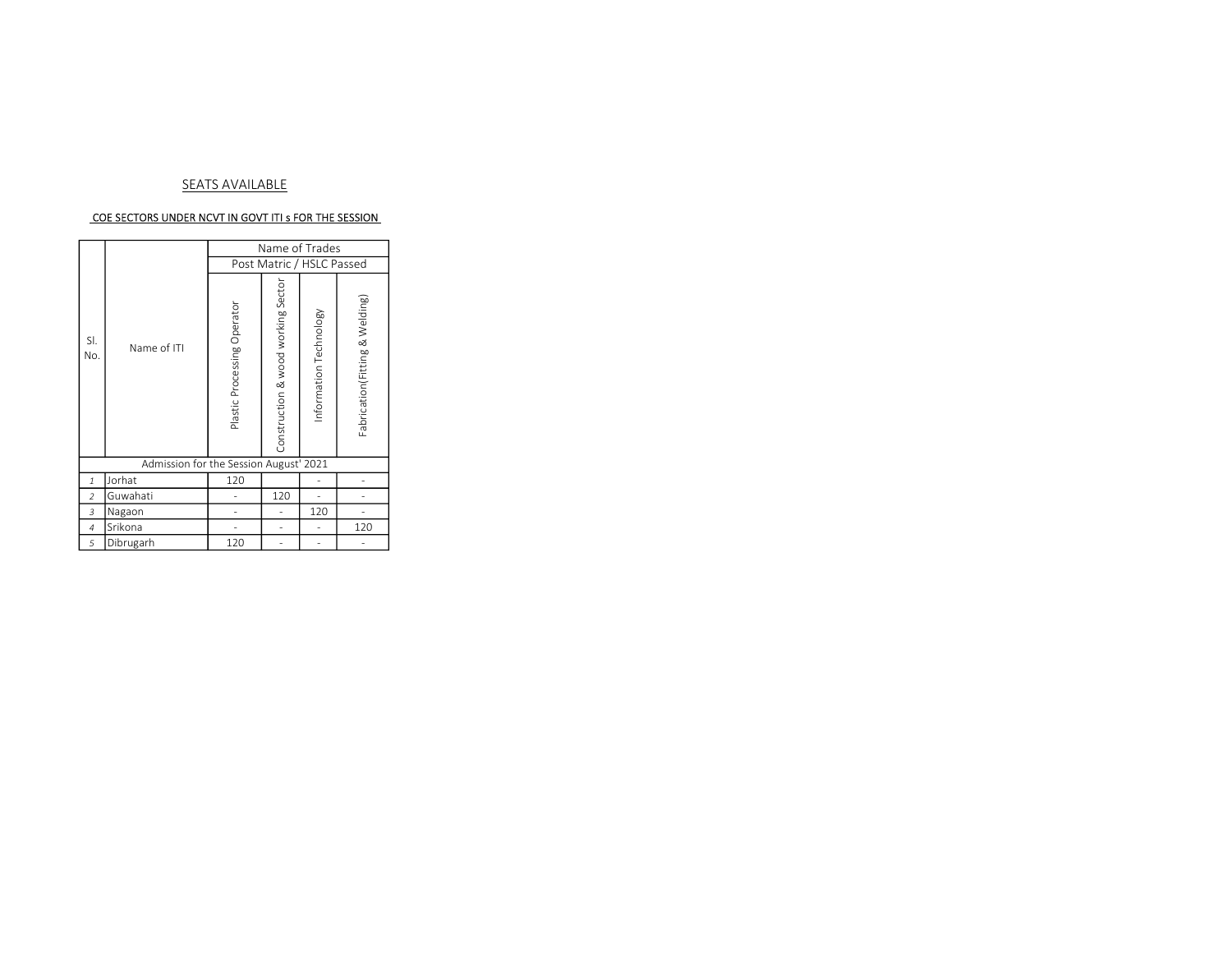### SEATS AVAILABLE

#### COE SECTORS UNDER NCVT IN GOVT ITI s FOR THE SESSION

|                |                                        |                             | Name of Trades                     |                        |                                |
|----------------|----------------------------------------|-----------------------------|------------------------------------|------------------------|--------------------------------|
|                |                                        |                             | Post Matric / HSLC Passed          |                        |                                |
| SI.<br>No.     | Name of ITI                            | Plastic Processing Operator | Construction & wood working Sector | Information Technology | Fabrication(Fitting & Welding) |
|                | Admission for the Session August' 2021 |                             |                                    |                        |                                |
| $\mathbf{1}$   | Jorhat                                 | 120                         |                                    | ٠                      |                                |
| 2              | Guwahati                               |                             | 120                                | ٠                      |                                |
| 3              | Nagaon                                 |                             | ٠                                  | 120                    |                                |
| $\overline{4}$ | Srikona                                |                             | ٠                                  | ٠                      | 120                            |
| 5              | Dibrugarh                              | 120                         | ۰                                  | ۰                      |                                |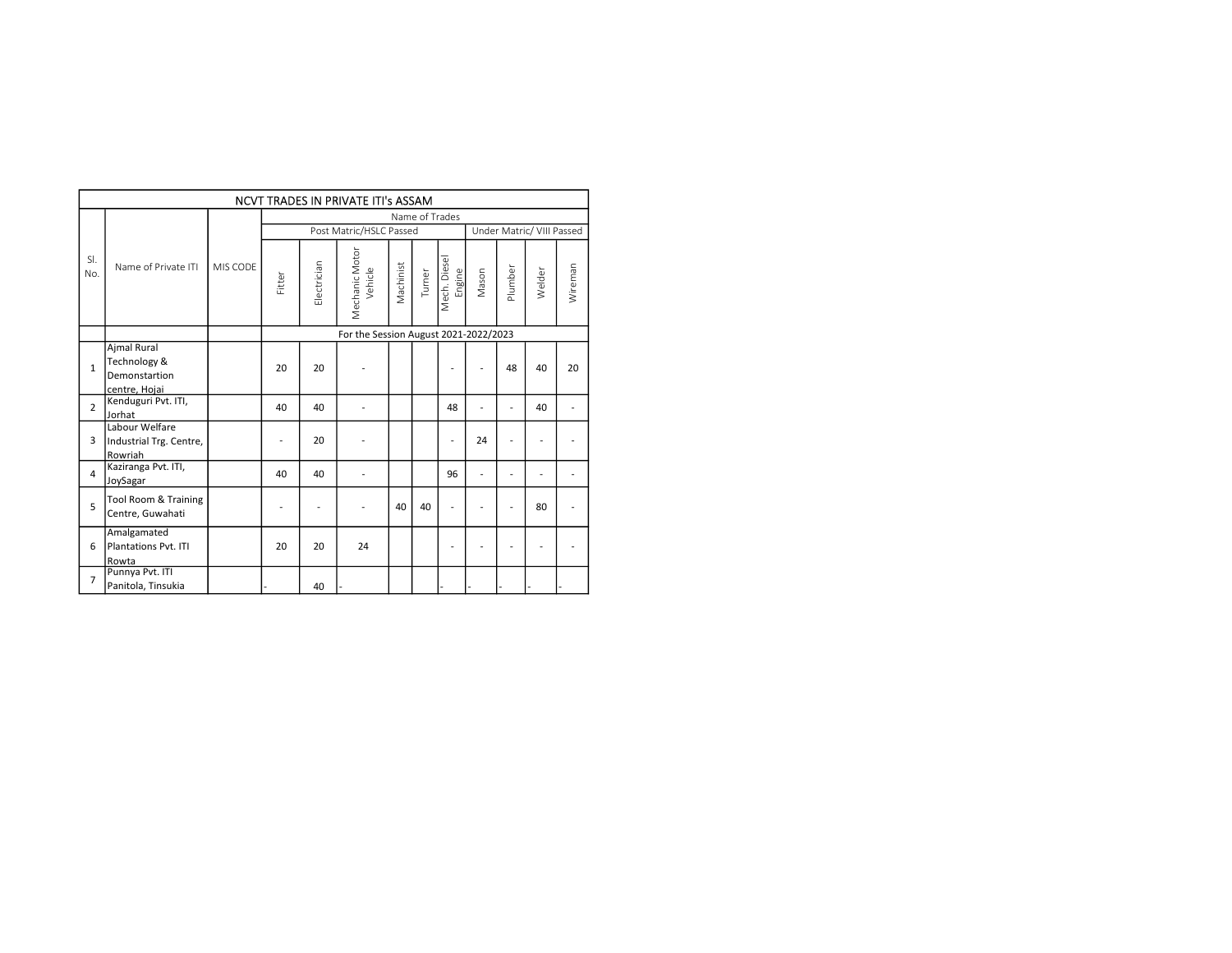|                |                                                               |          |                          |                | NCVT TRADES IN PRIVATE ITI's ASSAM    |           |                |                        |                          |                          |                           |                          |
|----------------|---------------------------------------------------------------|----------|--------------------------|----------------|---------------------------------------|-----------|----------------|------------------------|--------------------------|--------------------------|---------------------------|--------------------------|
|                |                                                               |          |                          |                |                                       |           | Name of Trades |                        |                          |                          |                           |                          |
|                |                                                               |          |                          |                | Post Matric/HSLC Passed               |           |                |                        |                          |                          | Under Matric/ VIII Passed |                          |
| SI.<br>No.     | Name of Private ITI                                           | MIS CODE | Fitter                   | Electrician    | Mechanic Motor<br>Vehicle             | Machinist | Turner         | Mech. Diesel<br>Engine | Mason                    | Plumber                  | Welder                    | Wireman                  |
|                |                                                               |          |                          |                | For the Session August 2021-2022/2023 |           |                |                        |                          |                          |                           |                          |
| $\mathbf{1}$   | Ajmal Rural<br>Technology &<br>Demonstartion<br>centre, Hojai |          | 20                       | 20             | $\overline{\phantom{a}}$              |           |                | $\overline{a}$         | $\overline{\phantom{a}}$ | 48                       | 40                        | 20                       |
| $\overline{2}$ | Kenduguri Pvt. ITI,<br>Jorhat                                 |          | 40                       | 40             | $\overline{\phantom{a}}$              |           |                | 48                     | $\overline{\phantom{a}}$ | $\overline{a}$           | 40                        | $\overline{a}$           |
| 3              | Labour Welfare<br>Industrial Trg. Centre,<br>Rowriah          |          | $\overline{\phantom{a}}$ | 20             | $\overline{\phantom{a}}$              |           |                | $\overline{a}$         | 24                       | $\overline{\phantom{a}}$ | $\overline{\phantom{a}}$  | $\overline{\phantom{a}}$ |
| 4              | Kaziranga Pvt. ITI,<br>JoySagar                               |          | 40                       | 40             | $\overline{a}$                        |           |                | 96                     | $\overline{a}$           | $\overline{\phantom{a}}$ | $\overline{a}$            | $\overline{a}$           |
| 5              | Tool Room & Training<br>Centre, Guwahati                      |          | $\overline{a}$           | $\overline{a}$ |                                       | 40        | 40             | $\overline{a}$         |                          | $\overline{a}$           | 80                        | $\overline{a}$           |
| 6              | Amalgamated<br>Plantations Pvt. ITI<br>Rowta                  |          | 20                       | 20             | 24                                    |           |                | $\overline{a}$         | $\overline{a}$           | $\overline{\phantom{a}}$ | $\overline{\phantom{a}}$  | $\overline{\phantom{a}}$ |
| $\overline{7}$ | Punnya Pvt. ITI<br>Panitola, Tinsukia                         |          |                          | 40             |                                       |           |                |                        |                          |                          |                           |                          |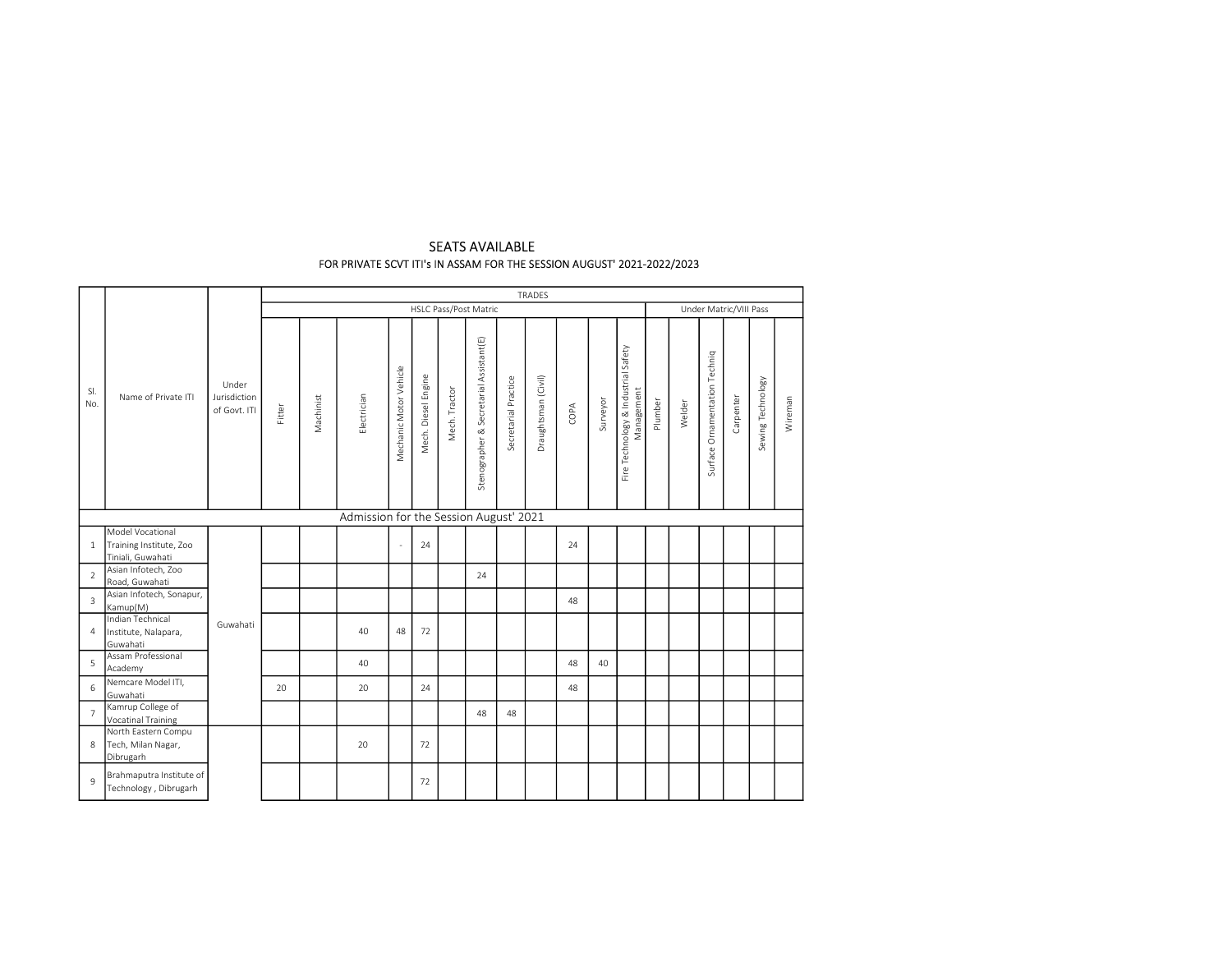|                |                                                          |                                       |        |           |                                        |                          |                     |               |                                         |                      | TRADES              |      |          |                                                   |         |        |                               |                        |                   |         |
|----------------|----------------------------------------------------------|---------------------------------------|--------|-----------|----------------------------------------|--------------------------|---------------------|---------------|-----------------------------------------|----------------------|---------------------|------|----------|---------------------------------------------------|---------|--------|-------------------------------|------------------------|-------------------|---------|
|                |                                                          |                                       |        |           |                                        |                          |                     |               | HSLC Pass/Post Matric                   |                      |                     |      |          |                                                   |         |        |                               | Under Matric/VIII Pass |                   |         |
| SI.<br>No.     | Name of Private ITI                                      | Under<br>Jurisdiction<br>of Govt. ITI | Fitter | Machinist | Electrician                            | Mechanic Motor Vehicle   | Mech. Diesel Engine | Mech. Tractor | Stenographer & Secretarial Assistant(E) | Secretarial Practice | Draughtsman (Civil) | COPA | Surveyor | Fire Technology & Industrial Safety<br>Management | Plumber | Welder | Surface Ornamentation Techniq | Carpenter              | Sewing Technology | Wireman |
|                |                                                          |                                       |        |           | Admission for the Session August' 2021 |                          |                     |               |                                         |                      |                     |      |          |                                                   |         |        |                               |                        |                   |         |
|                | Model Vocational                                         |                                       |        |           |                                        |                          |                     |               |                                         |                      |                     |      |          |                                                   |         |        |                               |                        |                   |         |
|                | 1 Training Institute, Zoo                                |                                       |        |           |                                        | $\overline{\phantom{a}}$ | 24                  |               |                                         |                      |                     | 24   |          |                                                   |         |        |                               |                        |                   |         |
|                | Tiniali, Guwahati                                        |                                       |        |           |                                        |                          |                     |               |                                         |                      |                     |      |          |                                                   |         |        |                               |                        |                   |         |
| $\overline{2}$ | Asian Infotech, Zoo<br>Road, Guwahati                    |                                       |        |           |                                        |                          |                     |               | 24                                      |                      |                     |      |          |                                                   |         |        |                               |                        |                   |         |
| $\overline{3}$ | Asian Infotech, Sonapur,<br>Kamup(M)                     |                                       |        |           |                                        |                          |                     |               |                                         |                      |                     | 48   |          |                                                   |         |        |                               |                        |                   |         |
|                | Indian Technical<br>4 Institute, Nalapara,<br>Guwahati   | Guwahati                              |        |           | 40                                     | 48                       | 72                  |               |                                         |                      |                     |      |          |                                                   |         |        |                               |                        |                   |         |
| 5              | Assam Professional<br>Academy                            |                                       |        |           | 40                                     |                          |                     |               |                                         |                      |                     | 48   | 40       |                                                   |         |        |                               |                        |                   |         |
| 6              | Nemcare Model ITI,<br>Guwahati                           |                                       | 20     |           | 20                                     |                          | 24                  |               |                                         |                      |                     | 48   |          |                                                   |         |        |                               |                        |                   |         |
| $\overline{7}$ | Kamrup College of<br>Vocatinal Training                  |                                       |        |           |                                        |                          |                     |               | 48                                      | 48                   |                     |      |          |                                                   |         |        |                               |                        |                   |         |
|                | North Eastern Compu<br>8 Tech, Milan Nagar,<br>Dibrugarh |                                       |        |           | 20                                     |                          | 72                  |               |                                         |                      |                     |      |          |                                                   |         |        |                               |                        |                   |         |
| 9              | Brahmaputra Institute of<br>Technology, Dibrugarh        |                                       |        |           |                                        |                          | 72                  |               |                                         |                      |                     |      |          |                                                   |         |        |                               |                        |                   |         |

# SEATS AVAILABLE FOR PRIVATE SCVT ITI's IN ASSAM FOR THE SESSION AUGUST' 2021-2022/2023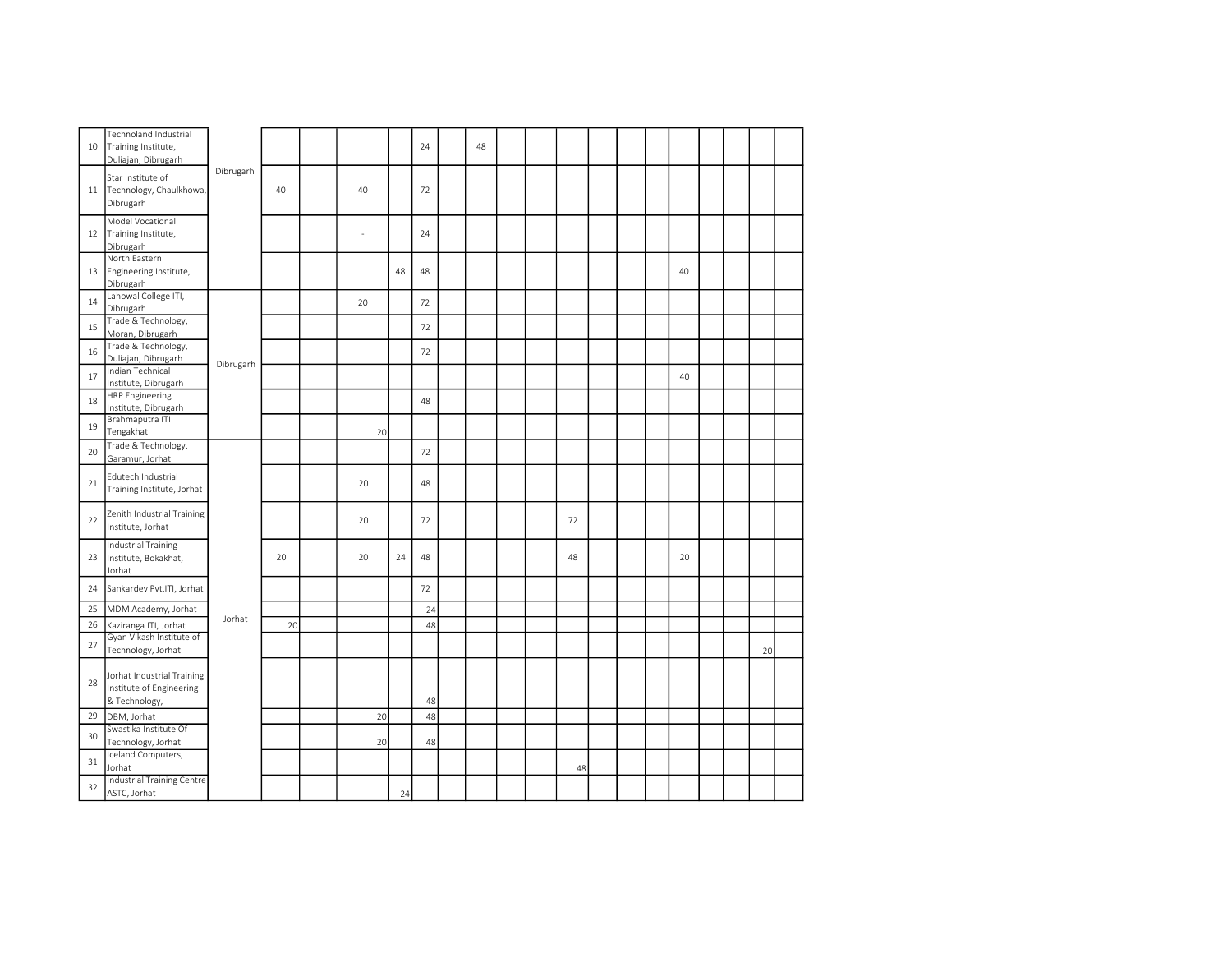| 10 | Technoland Industrial<br>Training Institute,<br>Duliajan, Dibrugarh     |           |    |    |    | 24 | 48 |  |    |  |    |  |    |  |
|----|-------------------------------------------------------------------------|-----------|----|----|----|----|----|--|----|--|----|--|----|--|
| 11 | Star Institute of<br>Technology, Chaulkhowa,<br>Dibrugarh               | Dibrugarh | 40 | 40 |    | 72 |    |  |    |  |    |  |    |  |
| 12 | Model Vocational<br>Training Institute,<br>Dibrugarh                    |           |    | ä, |    | 24 |    |  |    |  |    |  |    |  |
| 13 | North Eastern<br>Engineering Institute,<br>Dibrugarh                    |           |    |    | 48 | 48 |    |  |    |  | 40 |  |    |  |
| 14 | Lahowal College ITI,<br>Dibrugarh                                       |           |    | 20 |    | 72 |    |  |    |  |    |  |    |  |
| 15 | Trade & Technology,<br>Moran, Dibrugarh                                 |           |    |    |    | 72 |    |  |    |  |    |  |    |  |
| 16 | Trade & Technology,<br>Duliajan, Dibrugarh                              |           |    |    |    | 72 |    |  |    |  |    |  |    |  |
| 17 | Indian Technical<br>Institute, Dibrugarh                                | Dibrugarh |    |    |    |    |    |  |    |  | 40 |  |    |  |
| 18 | <b>HRP Engineering</b><br>Institute, Dibrugarh                          |           |    |    |    | 48 |    |  |    |  |    |  |    |  |
| 19 | Brahmaputra ITI<br>Tengakhat                                            |           |    | 20 |    |    |    |  |    |  |    |  |    |  |
| 20 | Trade & Technology,<br>Garamur, Jorhat                                  |           |    |    |    | 72 |    |  |    |  |    |  |    |  |
| 21 | Edutech Industrial<br>Training Institute, Jorhat                        |           |    | 20 |    | 48 |    |  |    |  |    |  |    |  |
| 22 | Zenith Industrial Training<br>Institute, Jorhat                         |           |    | 20 |    | 72 |    |  | 72 |  |    |  |    |  |
| 23 | Industrial Training<br>Institute, Bokakhat,<br>Jorhat                   |           | 20 | 20 | 24 | 48 |    |  | 48 |  | 20 |  |    |  |
| 24 | Sankardev Pvt.ITI, Jorhat                                               |           |    |    |    | 72 |    |  |    |  |    |  |    |  |
| 25 | MDM Academy, Jorhat                                                     | Jorhat    |    |    |    | 24 |    |  |    |  |    |  |    |  |
| 26 | Kaziranga ITI, Jorhat                                                   |           | 20 |    |    | 48 |    |  |    |  |    |  |    |  |
| 27 | Gyan Vikash Institute of<br>Technology, Jorhat                          |           |    |    |    |    |    |  |    |  |    |  | 20 |  |
| 28 | Jorhat Industrial Training<br>Institute of Engineering<br>& Technology, |           |    |    |    | 48 |    |  |    |  |    |  |    |  |
| 29 | DBM, Jorhat                                                             |           |    | 20 |    | 48 |    |  |    |  |    |  |    |  |
| 30 | Swastika Institute Of                                                   |           |    |    |    |    |    |  |    |  |    |  |    |  |
|    | Technology, Jorhat<br>Iceland Computers,                                |           |    | 20 |    | 48 |    |  |    |  |    |  |    |  |
| 31 | Jorhat                                                                  |           |    |    |    |    |    |  | 48 |  |    |  |    |  |
| 32 | Industrial Training Centre<br>ASTC, Jorhat                              |           |    |    | 24 |    |    |  |    |  |    |  |    |  |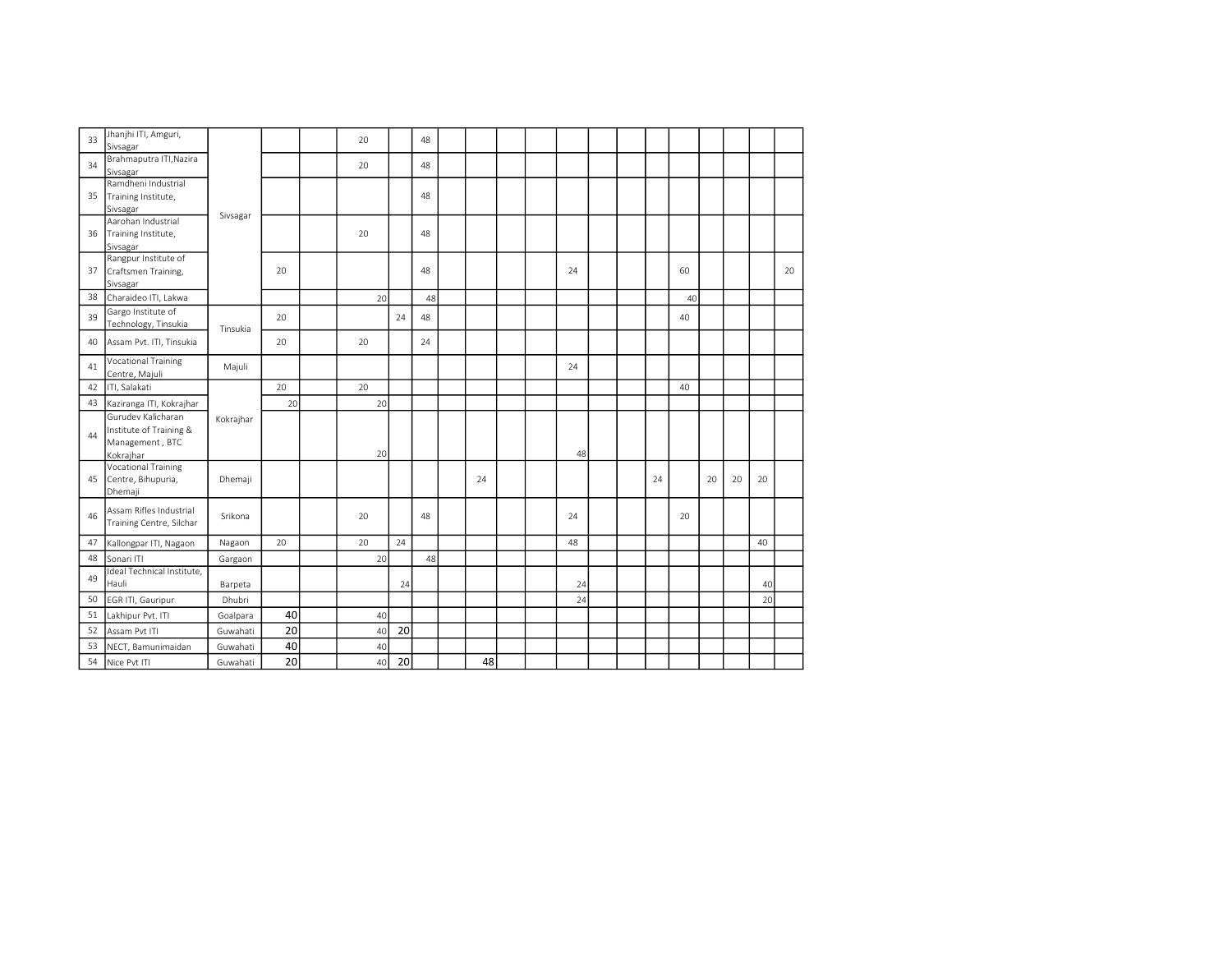| 33 | Jhanjhi ITI, Amguri,<br>Sivsagar                    |           |    | 20 |    | 48 |    |  |    |  |    |    |    |    |    |    |
|----|-----------------------------------------------------|-----------|----|----|----|----|----|--|----|--|----|----|----|----|----|----|
|    | Brahmaputra ITI, Nazira                             |           |    |    |    |    |    |  |    |  |    |    |    |    |    |    |
| 34 | Sivsagar                                            |           |    | 20 |    | 48 |    |  |    |  |    |    |    |    |    |    |
|    | Ramdheni Industrial                                 |           |    |    |    |    |    |  |    |  |    |    |    |    |    |    |
| 35 | Training Institute,                                 |           |    |    |    | 48 |    |  |    |  |    |    |    |    |    |    |
|    | Sivsagar                                            | Sivsagar  |    |    |    |    |    |  |    |  |    |    |    |    |    |    |
|    | Aarohan Industrial                                  |           |    |    |    |    |    |  |    |  |    |    |    |    |    |    |
| 36 | Training Institute,                                 |           |    | 20 |    | 48 |    |  |    |  |    |    |    |    |    |    |
|    | Sivsagar                                            |           |    |    |    |    |    |  |    |  |    |    |    |    |    |    |
|    | Rangpur Institute of                                |           |    |    |    |    |    |  |    |  |    |    |    |    |    |    |
| 37 | Craftsmen Training,                                 |           | 20 |    |    | 48 |    |  | 24 |  |    | 60 |    |    |    | 20 |
|    | Sivsagar                                            |           |    |    |    |    |    |  |    |  |    |    |    |    |    |    |
| 38 | Charaideo ITI, Lakwa                                |           |    | 20 |    | 48 |    |  |    |  |    | 40 |    |    |    |    |
| 39 | Gargo Institute of<br>Technology, Tinsukia          |           | 20 |    | 24 | 48 |    |  |    |  |    | 40 |    |    |    |    |
|    |                                                     | Tinsukia  |    |    |    |    |    |  |    |  |    |    |    |    |    |    |
| 40 | Assam Pvt. ITI, Tinsukia                            |           | 20 | 20 |    | 24 |    |  |    |  |    |    |    |    |    |    |
| 41 | <b>Vocational Training</b><br>Centre, Majuli        | Majuli    |    |    |    |    |    |  | 24 |  |    |    |    |    |    |    |
| 42 | ITI, Salakati                                       |           | 20 | 20 |    |    |    |  |    |  |    | 40 |    |    |    |    |
| 43 |                                                     |           | 20 | 20 |    |    |    |  |    |  |    |    |    |    |    |    |
|    | Kaziranga ITI, Kokrajhar<br>Gurudev Kalicharan      |           |    |    |    |    |    |  |    |  |    |    |    |    |    |    |
|    | Institute of Training &                             | Kokrajhar |    |    |    |    |    |  |    |  |    |    |    |    |    |    |
| 44 | Management, BTC                                     |           |    |    |    |    |    |  |    |  |    |    |    |    |    |    |
|    | Kokrajhar                                           |           |    | 20 |    |    |    |  | 48 |  |    |    |    |    |    |    |
|    | <b>Vocational Training</b>                          |           |    |    |    |    |    |  |    |  |    |    |    |    |    |    |
| 45 | Centre, Bihupuria,                                  | Dhemaji   |    |    |    |    | 24 |  |    |  | 24 |    | 20 | 20 | 20 |    |
|    | Dhemaji                                             |           |    |    |    |    |    |  |    |  |    |    |    |    |    |    |
|    |                                                     |           |    |    |    |    |    |  |    |  |    |    |    |    |    |    |
| 46 | Assam Rifles Industrial<br>Training Centre, Silchar | Srikona   |    | 20 |    | 48 |    |  | 24 |  |    | 20 |    |    |    |    |
|    |                                                     |           |    |    |    |    |    |  |    |  |    |    |    |    |    |    |
| 47 | Kallongpar ITI, Nagaon                              | Nagaon    | 20 | 20 | 24 |    |    |  | 48 |  |    |    |    |    | 40 |    |
| 48 | Sonari ITI                                          | Gargaon   |    | 20 |    | 48 |    |  |    |  |    |    |    |    |    |    |
| 49 | Ideal Technical Institute,                          |           |    |    |    |    |    |  |    |  |    |    |    |    |    |    |
|    | Hauli                                               | Barpeta   |    |    | 24 |    |    |  | 24 |  |    |    |    |    | 40 |    |
| 50 | EGR ITI, Gauripur                                   | Dhubri    |    |    |    |    |    |  | 24 |  |    |    |    |    | 20 |    |
| 51 | Lakhipur Pvt. ITI                                   | Goalpara  | 40 | 40 |    |    |    |  |    |  |    |    |    |    |    |    |
| 52 | Assam Pvt ITI                                       | Guwahati  | 20 | 40 | 20 |    |    |  |    |  |    |    |    |    |    |    |
| 53 | NECT, Bamunimaidan                                  | Guwahati  | 40 | 40 |    |    |    |  |    |  |    |    |    |    |    |    |
| 54 | Nice Pvt ITI                                        | Guwahati  | 20 | 40 | 20 |    | 48 |  |    |  |    |    |    |    |    |    |